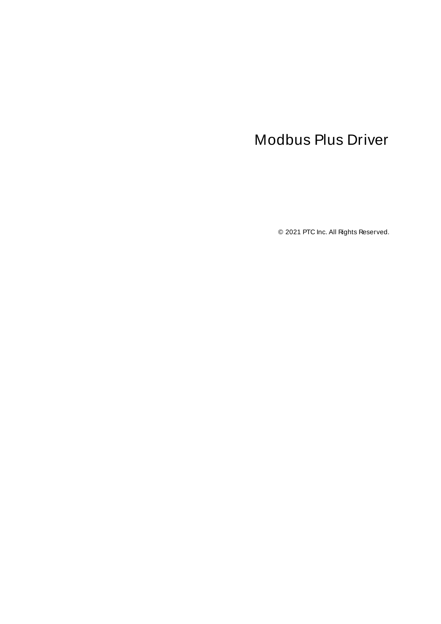# <span id="page-0-0"></span>Modbus Plus Driver

© 2021 PTC Inc. All Rights Reserved.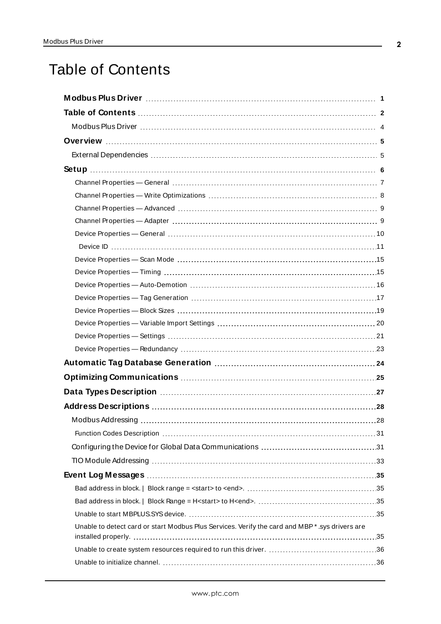# <span id="page-1-0"></span>Table of Contents

| Unable to detect card or start Modbus Plus Services. Verify the card and MBP*.sys drivers are |  |
|-----------------------------------------------------------------------------------------------|--|
|                                                                                               |  |
|                                                                                               |  |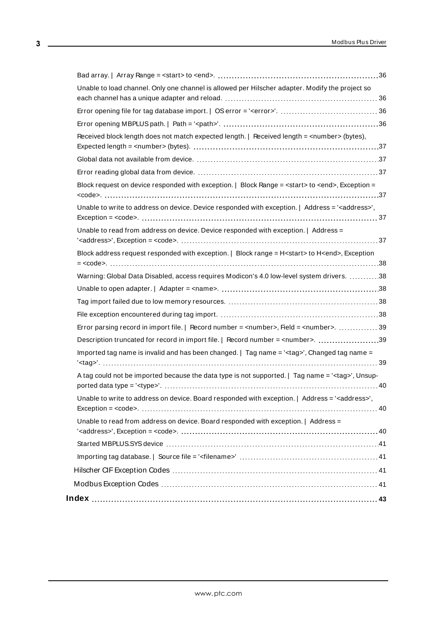| Unable to load channel. Only one channel is allowed per Hilscher adapter. Modify the project so                |  |
|----------------------------------------------------------------------------------------------------------------|--|
|                                                                                                                |  |
|                                                                                                                |  |
| Received block length does not match expected length.   Received length = <number> (bytes),</number>           |  |
|                                                                                                                |  |
|                                                                                                                |  |
| Block request on device responded with exception.   Block Range = <start> to <end>, Exception =</end></start>  |  |
| Unable to write to address on device. Device responded with exception.   Address = ' <address>',</address>     |  |
| Unable to read from address on device. Device responded with exception.   Address =                            |  |
| Block address request responded with exception.   Block range = H <start> to H<end>, Exception</end></start>   |  |
| Warning: Global Data Disabled, access requires Modicon's 4.0 low-level system drivers. 38                      |  |
|                                                                                                                |  |
|                                                                                                                |  |
|                                                                                                                |  |
| Error parsing record in import file.   Record number = <number>, Field = <number>. 39</number></number>        |  |
| Description truncated for record in import file.   Record number = <number>. 39</number>                       |  |
| Imported tag name is invalid and has been changed.   Tag name = ' <tag>', Changed tag name =</tag>             |  |
| A tag could not be imported because the data type is not supported.   Tag name = $\lt$ tag>', Unsup-           |  |
| Unable to write to address on device. Board responded with exception.   Address = ' <address>',</address>      |  |
| Unable to read from address on device. Board responded with exception.   Address =                             |  |
| Started MBPLUS.SYS device manufactured and control of the started MBPLUS.SYS device manufactured and the start |  |
|                                                                                                                |  |
|                                                                                                                |  |
|                                                                                                                |  |
|                                                                                                                |  |
|                                                                                                                |  |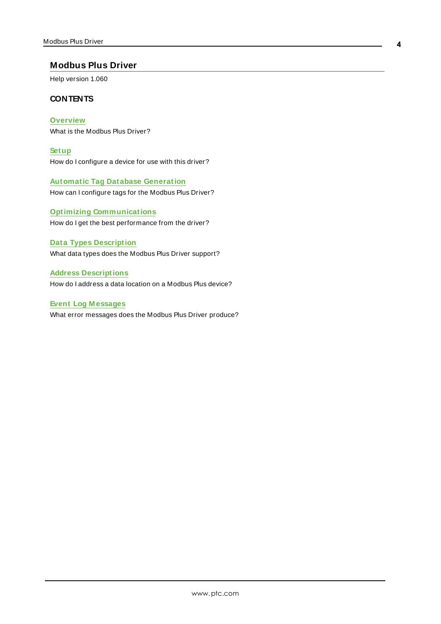## <span id="page-3-0"></span>**Modbus Plus Driver**

Help version 1.060

## **CONTENTS**

**[Overview](#page-4-0)** What is the Modbus Plus Driver?

**[Setup](#page-5-0)** How do I configure a device for use with this driver?

**Automatic Tag Database [Generation](#page-23-0)** How can I configure tags for the Modbus Plus Driver?

**Optimizing [Communications](#page-24-0)** How do I get the best performance from the driver?

#### **Data Types [Description](#page-26-0)**

What data types does the Modbus Plus Driver support?

**Address [Descriptions](#page-27-0)**

How do I address a data location on a Modbus Plus device?

### **Event Log [M essages](#page-34-1)**

What error messages does the Modbus Plus Driver produce?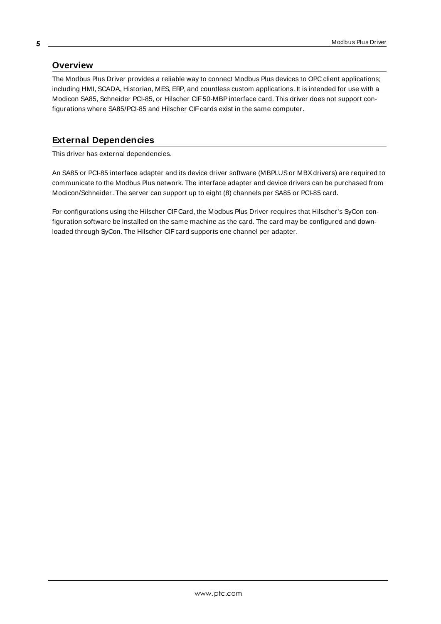### <span id="page-4-2"></span><span id="page-4-0"></span>**Overview**

The Modbus Plus Driver provides a reliable way to connect Modbus Plus devices to OPC client applications; including HMI, SCADA, Historian, MES, ERP, and countless custom applications. It is intended for use with a Modicon SA85, Schneider PCI-85, or Hilscher CIF50-MBPinterface card. This driver does not support configurations where SA85/PCI-85 and Hilscher CIFcards exist in the same computer.

# <span id="page-4-1"></span>**External Dependencies**

This driver has external dependencies.

An SA85 or PCI-85 interface adapter and its device driver software (MBPLUSor MBXdrivers) are required to communicate to the Modbus Plus network. The interface adapter and device drivers can be purchased from Modicon/Schneider. The server can support up to eight (8) channels per SA85 or PCI-85 card.

<span id="page-4-3"></span>For configurations using the Hilscher CIFCard, the Modbus Plus Driver requires that Hilscher's SyCon configuration software be installed on the same machine as the card. The card may be configured and downloaded through SyCon. The Hilscher CIF card supports one channel per adapter.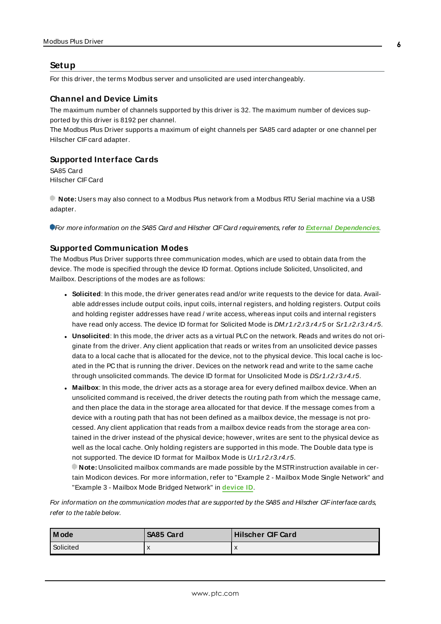#### <span id="page-5-0"></span>**Setup**

For this driver, the terms Modbus server and unsolicited are used interchangeably.

#### **Channel and Device Limits**

The maximum number of channels supported by this driver is 32. The maximum number of devices supported by this driver is 8192 per channel.

The Modbus Plus Driver supports a maximum of eight channels per SA85 card adapter or one channel per Hilscher CIF card adapter.

#### <span id="page-5-3"></span><span id="page-5-1"></span>**Supported Interface Cards**

SA85 Card Hilscher CIF Card

**Note:** Users may also connect to a Modbus Plus network from a Modbus RTU Serial machine via a USB adapter.

<span id="page-5-5"></span>For more information on the SA85 Card and Hilscher CIF Card requirements, refer to **External [Dependencies](#page-4-1)**.

#### **Supported Communication Modes**

The Modbus Plus Driver supports three communication modes, which are used to obtain data from the device. The mode is specified through the device ID format. Options include Solicited, Unsolicited, and Mailbox. Descriptions of the modes are as follows:

- <span id="page-5-4"></span>**Solicited**: In this mode, the driver generates read and/or write requests to the device for data. Available addresses include output coils, input coils, internal registers, and holding registers. Output coils and holding register addresses have read / write access, whereas input coils and internal registers have read only access. The device ID format for Solicited Mode is DM.r1.r2.r3.r4.r5 or Sr1.r2.r3.r4.r5.
- <span id="page-5-6"></span>**Unsolicited**: In this mode, the driver acts as a virtual PLC on the network. Reads and writes do not originate from the driver. Any client application that reads or writes from an unsolicited device passes data to a local cache that is allocated for the device, not to the physical device. This local cache is located in the PC that is running the driver. Devices on the network read and write to the same cache through unsolicited commands. The device ID format for Unsolicited Mode is DSr1.r2.r3.r4.r5.
- <span id="page-5-2"></span>**Mailbox**: In this mode, the driver acts as a storage area for every defined mailbox device. When an unsolicited command is received, the driver detects the routing path from which the message came, and then place the data in the storage area allocated for that device. If the message comes from a device with a routing path that has not been defined as a mailbox device, the message is not processed. Any client application that reads from a mailbox device reads from the storage area contained in the driver instead of the physical device; however, writes are sent to the physical device as well as the local cache. Only holding registers are supported in this mode. The Double data type is not supported. The device ID format for Mailbox Mode is U.r1.r2.r3.r4.r5.

**Note:** Unsolicited mailbox commands are made possible by the MSTRinstruction available in certain Modicon devices. For more information, refer to "Example 2 - Mailbox Mode Single Network" and "Example 3 - Mailbox Mode Bridged Network" in **[device](#page-10-0) ID**.

For information on the communication modes that are supported by the SA85 and Hilscher CIF interface cards, refer to the table below.

| l M ode   | SA85 Card | Hilscher CIF Card |
|-----------|-----------|-------------------|
| Solicited | $\lambda$ | $\mathbf{v}$      |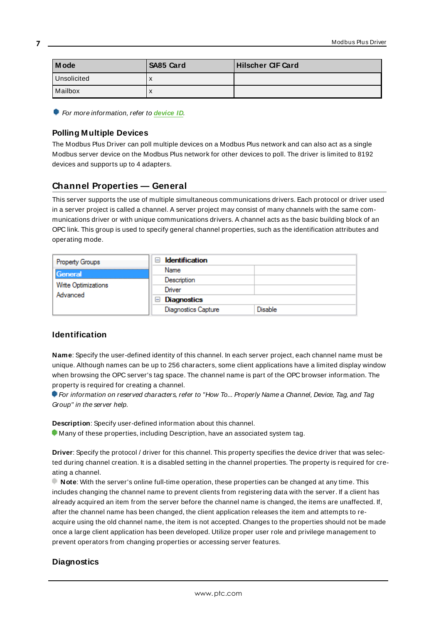| l Mode      | SA85 Card | <b>Hilscher CIF Card</b> |
|-------------|-----------|--------------------------|
| Unsolicited | X         |                          |
| l Mailbox   | X         |                          |

<span id="page-6-1"></span>**For more information, refer to [device](#page-10-0) ID.** 

### **Polling Multiple Devices**

The Modbus Plus Driver can poll multiple devices on a Modbus Plus network and can also act as a single Modbus server device on the Modbus Plus network for other devices to poll. The driver is limited to 8192 devices and supports up to 4 adapters.

# <span id="page-6-0"></span>**Channel Properties — General**

This server supports the use of multiple simultaneous communications drivers. Each protocol or driver used in a server project is called a channel. A server project may consist of many channels with the same communications driver or with unique communications drivers. A channel acts as the basic building block of an OPC link. This group is used to specify general channel properties, such as the identification attributes and operating mode.

| <b>Property Groups</b><br>General<br>Write Optimizations<br>Advanced | <b>Identification</b><br>$\overline{\phantom{a}}$ |                |
|----------------------------------------------------------------------|---------------------------------------------------|----------------|
|                                                                      | Name                                              |                |
|                                                                      | Description                                       |                |
|                                                                      | Driver                                            |                |
|                                                                      | Diagnostics<br>$=$                                |                |
|                                                                      | <b>Diagnostics Capture</b>                        | <b>Disable</b> |

#### **Identification**

**Name**: Specify the user-defined identity of this channel. In each server project, each channel name must be unique. Although names can be up to 256 characters, some client applications have a limited display window when browsing the OPC server's tag space. The channel name is part of the OPC browser information. The property is required for creating a channel.

For information on reserved characters, refer to "How To... Properly Name a Channel, Device, Tag, and Tag Group" in the server help.

**Description**: Specify user-defined information about this channel.

**Many of these properties, including Description, have an associated system tag.** 

**Driver**: Specify the protocol / driver for this channel. This property specifies the device driver that was selected during channel creation. It is a disabled setting in the channel properties. The property is required for creating a channel.

**Note**: With the server's online full-time operation, these properties can be changed at any time. This includes changing the channel name to prevent clients from registering data with the server. If a client has already acquired an item from the server before the channel name is changed, the items are unaffected. If, after the channel name has been changed, the client application releases the item and attempts to reacquire using the old channel name, the item is not accepted. Changes to the properties should not be made once a large client application has been developed. Utilize proper user role and privilege management to prevent operators from changing properties or accessing server features.

## **Diagnostics**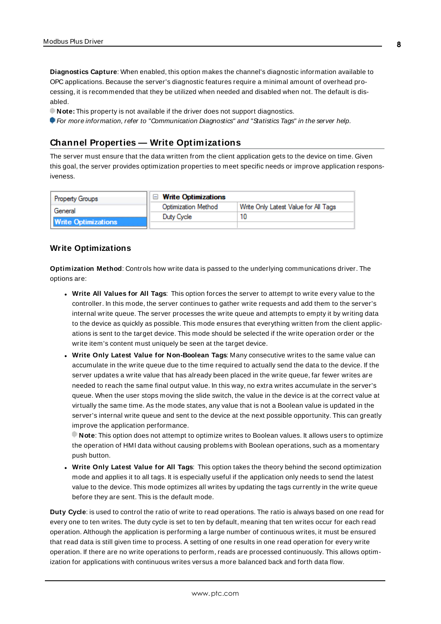**Diagnostics Capture**: When enabled, this option makes the channel's diagnostic information available to OPC applications. Because the server's diagnostic features require a minimal amount of overhead processing, it is recommended that they be utilized when needed and disabled when not. The default is disabled.

**Note:** This property is not available if the driver does not support diagnostics.

<span id="page-7-0"></span>For more information, refer to "Communication Diagnostics" and "Statistics Tags" in the server help.

### **Channel Properties — Write Optimizations**

The server must ensure that the data written from the client application gets to the device on time. Given this goal, the server provides optimization properties to meet specific needs or improve application responsiveness.

| <b>Property Groups</b>     | $\Box$ Write Optimizations |                                      |
|----------------------------|----------------------------|--------------------------------------|
| General                    | <b>Optimization Method</b> | Write Only Latest Value for All Tags |
|                            | Duty Cycle                 |                                      |
| <b>Write Optimizations</b> |                            |                                      |

#### **Write Optimizations**

**Optimization Method**: Controls how write data is passed to the underlying communications driver. The options are:

- <sup>l</sup> **Write All Values for All Tags**: This option forces the server to attempt to write every value to the controller. In this mode, the server continues to gather write requests and add them to the server's internal write queue. The server processes the write queue and attempts to empty it by writing data to the device as quickly as possible. This mode ensures that everything written from the client applications is sent to the target device. This mode should be selected if the write operation order or the write item's content must uniquely be seen at the target device.
- <sup>l</sup> **Write Only Latest Value for Non-Boolean Tags**: Many consecutive writes to the same value can accumulate in the write queue due to the time required to actually send the data to the device. If the server updates a write value that has already been placed in the write queue, far fewer writes are needed to reach the same final output value. In this way, no extra writes accumulate in the server's queue. When the user stops moving the slide switch, the value in the device is at the correct value at virtually the same time. As the mode states, any value that is not a Boolean value is updated in the server's internal write queue and sent to the device at the next possible opportunity. This can greatly improve the application performance.

**Note**: This option does not attempt to optimize writes to Boolean values. It allows users to optimize the operation of HMI data without causing problems with Boolean operations, such as a momentary push button.

<sup>l</sup> **Write Only Latest Value for All Tags**: This option takes the theory behind the second optimization mode and applies it to all tags. It is especially useful if the application only needs to send the latest value to the device. This mode optimizes all writes by updating the tags currently in the write queue before they are sent. This is the default mode.

**Duty Cycle**: is used to control the ratio of write to read operations. The ratio is always based on one read for every one to ten writes. The duty cycle is set to ten by default, meaning that ten writes occur for each read operation. Although the application is performing a large number of continuous writes, it must be ensured that read data is still given time to process. A setting of one results in one read operation for every write operation. If there are no write operations to perform, reads are processed continuously. This allows optimization for applications with continuous writes versus a more balanced back and forth data flow.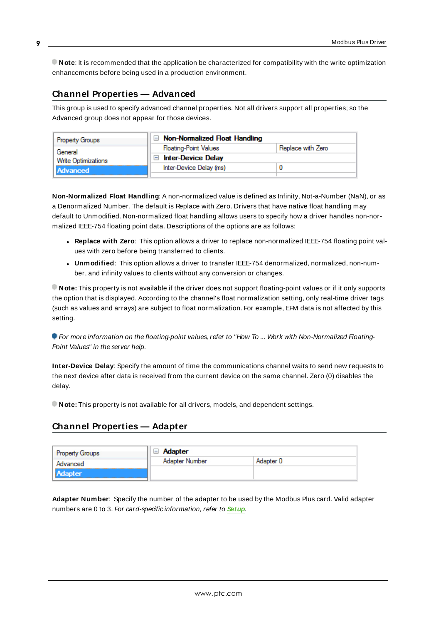**Note**: It is recommended that the application be characterized for compatibility with the write optimization enhancements before being used in a production environment.

# <span id="page-8-0"></span>**Channel Properties — Advanced**

This group is used to specify advanced channel properties. Not all drivers support all properties; so the Advanced group does not appear for those devices.

| Property Groups                        | $\Box$ Non-Normalized Float Handling        |                   |
|----------------------------------------|---------------------------------------------|-------------------|
| General                                | <b>Floating-Point Values</b>                | Replace with Zero |
| <b>Write Optimizations</b><br>Advanced | <b>Inter-Device Delay</b><br>$\overline{ }$ |                   |
|                                        | Inter-Device Delay (ms)                     |                   |
|                                        |                                             |                   |

**Non-Normalized Float Handling**: A non-normalized value is defined as Infinity, Not-a-Number (NaN), or as a Denormalized Number. The default is Replace with Zero. Drivers that have native float handling may default to Unmodified. Non-normalized float handling allows users to specify how a driver handles non-normalized IEEE-754 floating point data. Descriptions of the options are as follows:

- <sup>l</sup> **Replace with Zero**: This option allows a driver to replace non-normalized IEEE-754 floating point values with zero before being transferred to clients.
- <sup>l</sup> **Unmodified**: This option allows a driver to transfer IEEE-754 denormalized, normalized, non-number, and infinity values to clients without any conversion or changes.

**Note:** This property is not available if the driver does not support floating-point values or if it only supports the option that is displayed. According to the channel's float normalization setting, only real-time driver tags (such as values and arrays) are subject to float normalization. For example, EFM data is not affected by this setting.

For more information on the floating-point values, refer to "How To ... Work with Non-Normalized Floating-Point Values" in the server help.

**Inter-Device Delay**: Specify the amount of time the communications channel waits to send new requests to the next device after data is received from the current device on the same channel. Zero (0) disables the delay.

<span id="page-8-1"></span>**Note:** This property is not available for all drivers, models, and dependent settings.

# **Channel Properties — Adapter**

| <b>Property Groups</b><br>Advanced | Adapter<br>$\mathord{\vdash}$ |           |  |
|------------------------------------|-------------------------------|-----------|--|
|                                    | Adapter Number                | Adapter 0 |  |
| <b>Adapter</b>                     |                               |           |  |

<span id="page-8-2"></span>**Adapter Number**: Specify the number of the adapter to be used by the Modbus Plus card. Valid adapter numbers are 0 to 3. For card-specific information, refer to **[Setup](#page-5-0)**.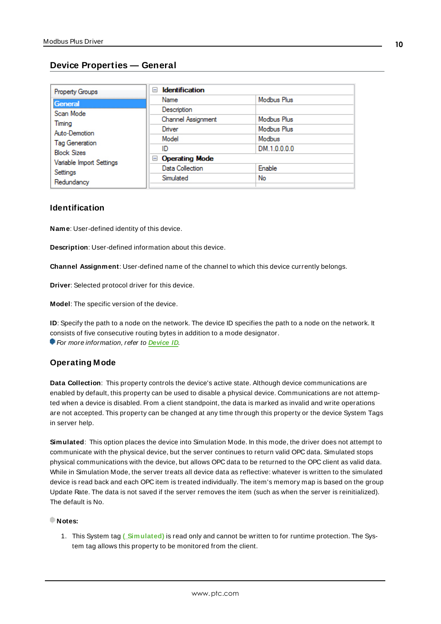# <span id="page-9-0"></span>**Device Properties — General**

| <b>Property Groups</b>                                                                                             | <b>Identification</b><br>$\equiv$ |              |
|--------------------------------------------------------------------------------------------------------------------|-----------------------------------|--------------|
| General                                                                                                            | Name                              | Modbus Plus  |
| Scan Mode                                                                                                          | Description                       |              |
| Timing                                                                                                             | Channel Assignment                | Modbus Plus  |
| Auto-Demotion<br><b>Tag Generation</b><br><b>Block Sizes</b><br>Variable Import Settings<br>Settings<br>Redundancy | Driver                            | Modbus Plus  |
|                                                                                                                    | Model                             | Modbus       |
|                                                                                                                    | ID                                | DM.1.0.0.0.0 |
|                                                                                                                    | <b>Operating Mode</b><br>$=$      |              |
|                                                                                                                    | Data Collection                   | Enable       |
|                                                                                                                    | Simulated                         | No           |
|                                                                                                                    |                                   |              |

### <span id="page-9-7"></span>**Identification**

<span id="page-9-3"></span>**Name**: User-defined identity of this device.

<span id="page-9-1"></span>**Description**: User-defined information about this device.

<span id="page-9-4"></span>**Channel Assignment**: User-defined name of the channel to which this device currently belongs.

<span id="page-9-6"></span>**Driver**: Selected protocol driver for this device.

<span id="page-9-5"></span>**Model**: The specific version of the device.

**ID**: Specify the path to a node on the network. The device ID specifies the path to a node on the network. It consists of five consecutive routing bytes in addition to a mode designator. For more information, refer to **[Device](#page-10-0) ID**.

#### <span id="page-9-2"></span>**Operating Mode**

**Data Collection**: This property controls the device's active state. Although device communications are enabled by default, this property can be used to disable a physical device. Communications are not attempted when a device is disabled. From a client standpoint, the data is marked as invalid and write operations are not accepted. This property can be changed at any time through this property or the device System Tags in server help.

<span id="page-9-8"></span>**Simulated**: This option places the device into Simulation Mode. In this mode, the driver does not attempt to communicate with the physical device, but the server continues to return valid OPC data. Simulated stops physical communications with the device, but allows OPC data to be returned to the OPC client as valid data. While in Simulation Mode, the server treats all device data as reflective: whatever is written to the simulated device is read back and each OPC item is treated individually. The item's memory map is based on the group Update Rate. The data is not saved if the server removes the item (such as when the server is reinitialized). The default is No.

#### **Notes:**

1. This System tag **(\_Simulated)** is read only and cannot be written to for runtime protection. The System tag allows this property to be monitored from the client.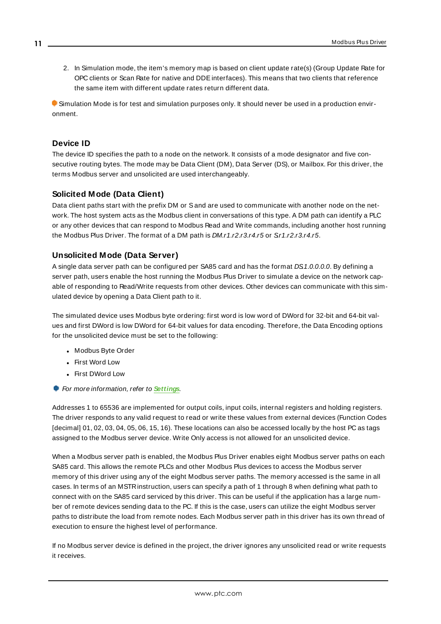2. In Simulation mode, the item's memory map is based on client update rate(s) (Group Update Rate for OPC clients or Scan Rate for native and DDEinterfaces). This means that two clients that reference the same item with different update rates return different data.

Simulation Mode is for test and simulation purposes only. It should never be used in a production environment.

# <span id="page-10-1"></span><span id="page-10-0"></span>**Device ID**

The device ID specifies the path to a node on the network. It consists of a mode designator and five consecutive routing bytes. The mode may be Data Client (DM), Data Server (DS), or Mailbox. For this driver, the terms Modbus server and unsolicited are used interchangeably.

# <span id="page-10-2"></span>**Solicited Mode (Data Client)**

Data client paths start with the prefix DM or Sand are used to communicate with another node on the network. The host system acts as the Modbus client in conversations of this type. A DM path can identify a PLC or any other devices that can respond to Modbus Read and Write commands, including another host running the Modbus Plus Driver. The format of a DM path is *DM.r1.r2.r3.r4.r5* or Sr1.r2.r3.r4.r5.

## <span id="page-10-4"></span>**Unsolicited Mode (Data Server)**

A single data server path can be configured per SA85 card and has the format DS1.0.0.0.0. By defining a server path, users enable the host running the Modbus Plus Driver to simulate a device on the network capable of responding to Read/Write requests from other devices. Other devices can communicate with this simulated device by opening a Data Client path to it.

The simulated device uses Modbus byte ordering: first word is low word of DWord for 32-bit and 64-bit values and first DWord is low DWord for 64-bit values for data encoding. Therefore, the Data Encoding options for the unsolicited device must be set to the following:

- Modbus Byte Order
- First Word Low
- First DWord Low
- **For more information, refer to [Settings](#page-20-0).**

Addresses 1 to 65536 are implemented for output coils, input coils, internal registers and holding registers. The driver responds to any valid request to read or write these values from external devices (Function Codes [decimal] 01, 02, 03, 04, 05, 06, 15, 16). These locations can also be accessed locally by the host PC as tags assigned to the Modbus server device. Write Only access is not allowed for an unsolicited device.

<span id="page-10-3"></span>When a Modbus server path is enabled, the Modbus Plus Driver enables eight Modbus server paths on each SA85 card. This allows the remote PLCs and other Modbus Plus devices to access the Modbus server memory of this driver using any of the eight Modbus server paths. The memory accessed is the same in all cases. In terms of an MSTRinstruction, users can specify a path of 1 through 8 when defining what path to connect with on the SA85 card serviced by this driver. This can be useful if the application has a large number of remote devices sending data to the PC. If this is the case, users can utilize the eight Modbus server paths to distribute the load from remote nodes. Each Modbus server path in this driver has its own thread of execution to ensure the highest level of performance.

If no Modbus server device is defined in the project, the driver ignores any unsolicited read or write requests it receives.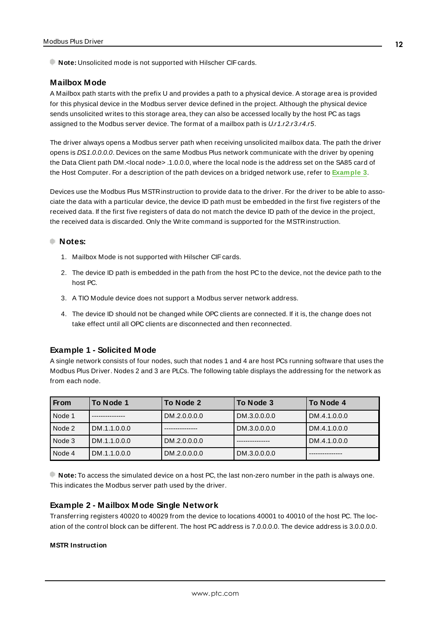<span id="page-11-2"></span><span id="page-11-1"></span><span id="page-11-0"></span>**Note:** Unsolicited mode is not supported with Hilscher CIF cards.

#### **Mailbox Mode**

A Mailbox path starts with the prefix U and provides a path to a physical device. A storage area is provided for this physical device in the Modbus server device defined in the project. Although the physical device sends unsolicited writes to this storage area, they can also be accessed locally by the host PC as tags assigned to the Modbus server device. The format of a mailbox path is U.r1.r2.r3.r4.r5.

The driver always opens a Modbus server path when receiving unsolicited mailbox data. The path the driver opens is DS1.0.0.0.0. Devices on the same Modbus Plus network communicate with the driver by opening the Data Client path DM.<local node> .1.0.0.0, where the local node is the address set on the SA85 card of the Host Computer. For a description of the path devices on a bridged network use, refer to **[Example](#page-13-0) 3**.

Devices use the Modbus Plus MSTRinstruction to provide data to the driver. For the driver to be able to associate the data with a particular device, the device ID path must be embedded in the first five registers of the received data. If the first five registers of data do not match the device ID path of the device in the project, the received data is discarded. Only the Write command is supported for the MSTRinstruction.

#### **Notes:**

- 1. Mailbox Mode is not supported with Hilscher CIF cards.
- 2. The device ID path is embedded in the path from the host PC to the device, not the device path to the host PC.
- 3. A TIO Module device does not support a Modbus server network address.
- 4. The device ID should not be changed while OPC clients are connected. If it is, the change does not take effect until all OPC clients are disconnected and then reconnected.

#### **Example 1 - Solicited Mode**

A single network consists of four nodes, such that nodes 1 and 4 are host PCs running software that uses the Modbus Plus Driver. Nodes 2 and 3 are PLCs. The following table displays the addressing for the network as from each node.

| From   | To Node 1    | To Node 2    | To Node 3    | To Node 4    |
|--------|--------------|--------------|--------------|--------------|
| Node 1 |              | DM.2.0.0.0.0 | DM.3.0.0.0.0 | DM.4.1.0.0.0 |
| Node 2 | DM.1.1.0.0.0 |              | DM.3.0.0.0.0 | DM.4.1.0.0.0 |
| Node 3 | DM.1.1.0.0.0 | DM.2.0.0.0.0 |              | DM.4.1.0.0.0 |
| Node 4 | DM.1.1.0.0.0 | DM.2.0.0.0.0 | DM.3.0.0.0.0 |              |

**Note:** To access the simulated device on a host PC, the last non-zero number in the path is always one. This indicates the Modbus server path used by the driver.

#### <span id="page-11-3"></span>**Example 2 - Mailbox Mode Single Network**

Transferring registers 40020 to 40029 from the device to locations 40001 to 40010 of the host PC. The location of the control block can be different. The host PC address is 7.0.0.0.0. The device address is 3.0.0.0.0.

#### **MSTR Instruction**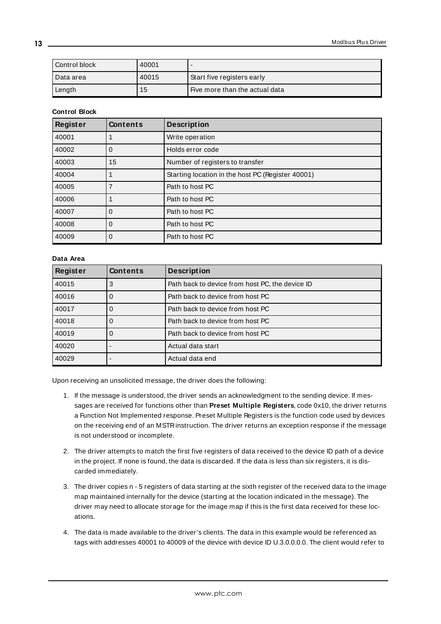| Control block | 40001 |                                |
|---------------|-------|--------------------------------|
| Data area     | 40015 | Start five registers early     |
| Length        | 15    | Five more than the actual data |

#### **Control Block**

| <b>Register</b> | <b>Contents</b> | <b>Description</b>                                |
|-----------------|-----------------|---------------------------------------------------|
| 40001           |                 | Write operation                                   |
| 40002           | 0               | Holds error code                                  |
| 40003           | 15              | Number of registers to transfer                   |
| 40004           |                 | Starting location in the host PC (Register 40001) |
| 40005           |                 | Path to host PC                                   |
| 40006           |                 | Path to host PC                                   |
| 40007           | 0               | Path to host PC                                   |
| 40008           | 0               | Path to host PC                                   |
| 40009           | 0               | Path to host PC                                   |

#### **Data Area**

| <b>Register</b> | <b>Contents</b> | <b>Description</b>                              |
|-----------------|-----------------|-------------------------------------------------|
| 40015           | 3               | Path back to device from host PC, the device ID |
| 40016           | O               | Path back to device from host PC                |
| 40017           | 0               | Path back to device from host PC                |
| 40018           | 0               | Path back to device from host PC                |
| 40019           | 0               | Path back to device from host PC                |
| 40020           |                 | Actual data start                               |
| 40029           |                 | Actual data end                                 |

Upon receiving an unsolicited message, the driver does the following:

- 1. If the message is understood, the driver sends an acknowledgment to the sending device. If messages are received for functions other than **Preset Multiple Registers**, code 0x10, the driver returns a Function Not Implemented response. Preset Multiple Registers is the function code used by devices on the receiving end of an MSTRinstruction. The driver returns an exception response if the message is not understood or incomplete.
- 2. The driver attempts to match the first five registers of data received to the device ID path of a device in the project. If none is found, the data is discarded. If the data is less than six registers, it is discarded immediately.
- 3. The driver copies n 5 registers of data starting at the sixth register of the received data to the image map maintained internally for the device (starting at the location indicated in the message). The driver may need to allocate storage for the image map if this is the first data received for these locations.
- 4. The data is made available to the driver's clients. The data in this example would be referenced as tags with addresses 40001 to 40009 of the device with device ID U.3.0.0.0.0. The client would refer to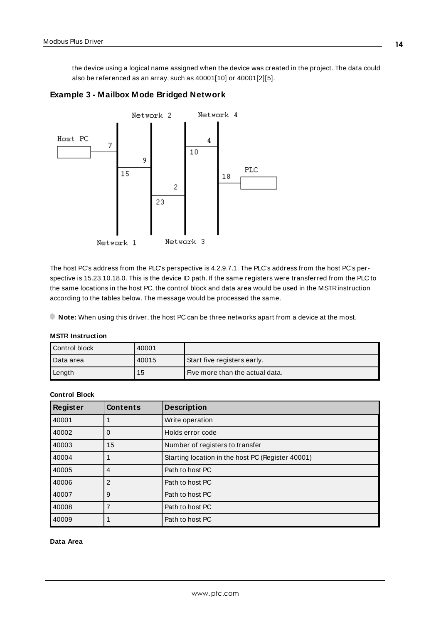<span id="page-13-0"></span>the device using a logical name assigned when the device was created in the project. The data could also be referenced as an array, such as 40001[10] or 40001[2][5].

<span id="page-13-1"></span>



The host PC's address from the PLC's perspective is 4.2.9.7.1. The PLC's address from the host PC's perspective is 15.23.10.18.0. This is the device ID path. If the same registers were transferred from the PLC to the same locations in the host PC, the control block and data area would be used in the MSTRinstruction according to the tables below. The message would be processed the same.

<span id="page-13-3"></span>**Note:** When using this driver, the host PC can be three networks apart from a device at the most.

| <b>MSTR Instruction</b> |  |  |
|-------------------------|--|--|
|-------------------------|--|--|

| Control block | 40001 |                                 |
|---------------|-------|---------------------------------|
| I Data area   | 40015 | Start five registers early.     |
| Length        | 15    | Five more than the actual data. |

#### <span id="page-13-2"></span>**Control Block**

| Register | <b>Contents</b> | <b>Description</b>                                |
|----------|-----------------|---------------------------------------------------|
| 40001    |                 | Write operation                                   |
| 40002    | O               | Holds error code                                  |
| 40003    | 15              | Number of registers to transfer                   |
| 40004    |                 | Starting location in the host PC (Register 40001) |
| 40005    | 4               | Path to host PC                                   |
| 40006    | 2               | Path to host PC                                   |
| 40007    | 9               | Path to host PC                                   |
| 40008    |                 | Path to host PC                                   |
| 40009    |                 | Path to host PC                                   |

#### **Data Area**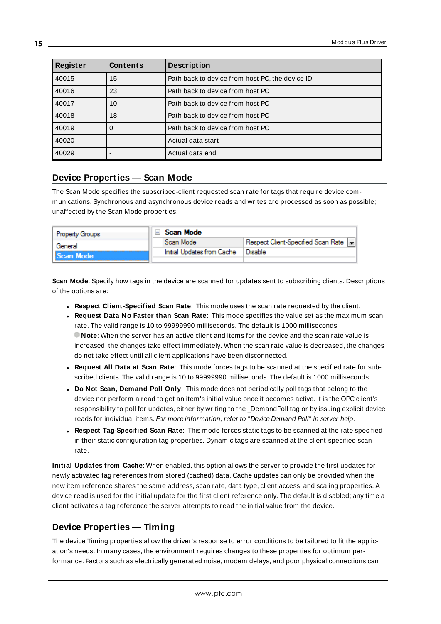| <b>Register</b> | <b>Contents</b> | <b>Description</b>                              |
|-----------------|-----------------|-------------------------------------------------|
| 40015           | 15              | Path back to device from host PC, the device ID |
| 40016           | 23              | Path back to device from host PC                |
| 40017           | 10              | Path back to device from host PC                |
| 40018           | 18              | Path back to device from host PC                |
| 40019           | 0               | Path back to device from host PC                |
| 40020           |                 | Actual data start                               |
| 40029           |                 | Actual data end                                 |

# <span id="page-14-0"></span>**Device Properties — Scan Mode**

The Scan Mode specifies the subscribed-client requested scan rate for tags that require device communications. Synchronous and asynchronous device reads and writes are processed as soon as possible; unaffected by the Scan Mode properties.

| <b>Property Groups</b> | Scan Mode                  |                                       |  |
|------------------------|----------------------------|---------------------------------------|--|
| General                | Scan Mode                  | Respect Client-Specified Scan Rate  - |  |
| Scan Mode              | Initial Updates from Cache | Disable                               |  |
|                        |                            |                                       |  |

<span id="page-14-5"></span>**Scan Mode**: Specify how tags in the device are scanned for updates sent to subscribing clients. Descriptions of the options are:

- <sup>l</sup> **Respect Client-Specified Scan Rate**: This mode uses the scan rate requested by the client.
- <sup>l</sup> **Request Data No Faster than Scan Rate**: This mode specifies the value set as the maximum scan rate. The valid range is 10 to 99999990 milliseconds. The default is 1000 milliseconds. **Note**: When the server has an active client and items for the device and the scan rate value is increased, the changes take effect immediately. When the scan rate value is decreased, the changes do not take effect until all client applications have been disconnected.
- <sup>l</sup> **Request All Data at Scan Rate**: This mode forces tags to be scanned at the specified rate for subscribed clients. The valid range is 10 to 99999990 milliseconds. The default is 1000 milliseconds.
- <span id="page-14-2"></span><sup>l</sup> **Do Not Scan, Demand Poll Only**: This mode does not periodically poll tags that belong to the device nor perform a read to get an item's initial value once it becomes active. It is the OPC client's responsibility to poll for updates, either by writing to the \_DemandPoll tag or by issuing explicit device reads for individual items. For more information, refer to "Device Demand Poll" in server help.
- <span id="page-14-4"></span><sup>l</sup> **Respect Tag-Specified Scan Rate**: This mode forces static tags to be scanned at the rate specified in their static configuration tag properties. Dynamic tags are scanned at the client-specified scan rate.

<span id="page-14-3"></span>**Initial Updates from Cache**: When enabled, this option allows the server to provide the first updates for newly activated tag references from stored (cached) data. Cache updates can only be provided when the new item reference shares the same address, scan rate, data type, client access, and scaling properties. A device read is used for the initial update for the first client reference only. The default is disabled; any time a client activates a tag reference the server attempts to read the initial value from the device.

# <span id="page-14-1"></span>**Device Properties — Timing**

The device Timing properties allow the driver's response to error conditions to be tailored to fit the application's needs. In many cases, the environment requires changes to these properties for optimum performance. Factors such as electrically generated noise, modem delays, and poor physical connections can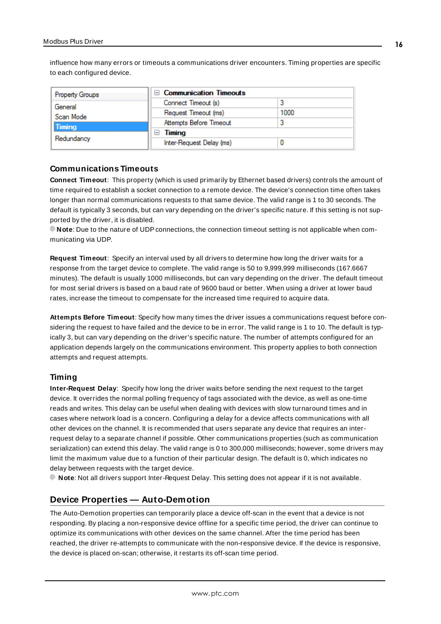<span id="page-15-2"></span>influence how many errors or timeouts a communications driver encounters. Timing properties are specific to each configured device.

| <b>Property Groups</b> | $\Box$ Communication Timeouts |      |
|------------------------|-------------------------------|------|
| General<br>Scan Mode   | Connect Timeout (s)           |      |
|                        | Request Timeout (ms)          | 1000 |
| <b>Timing</b>          | Attempts Before Timeout       |      |
| Redundancy             | Timing<br>-                   |      |
|                        | Inter-Request Delay (ms)      |      |

#### <span id="page-15-3"></span>**Communications Timeouts**

**Connect Timeout**: This property (which is used primarily by Ethernet based drivers) controls the amount of time required to establish a socket connection to a remote device. The device's connection time often takes longer than normal communications requests to that same device. The valid range is 1 to 30 seconds. The default is typically 3 seconds, but can vary depending on the driver's specific nature. If this setting is not supported by the driver, it is disabled.

**Note**: Due to the nature of UDPconnections, the connection timeout setting is not applicable when communicating via UDP.

<span id="page-15-5"></span>**Request Timeout**: Specify an interval used by all drivers to determine how long the driver waits for a response from the target device to complete. The valid range is 50 to 9,999,999 milliseconds (167.6667 minutes). The default is usually 1000 milliseconds, but can vary depending on the driver. The default timeout for most serial drivers is based on a baud rate of 9600 baud or better. When using a driver at lower baud rates, increase the timeout to compensate for the increased time required to acquire data.

<span id="page-15-1"></span>**Attempts Before Timeout**: Specify how many times the driver issues a communications request before considering the request to have failed and the device to be in error. The valid range is 1 to 10. The default is typically 3, but can vary depending on the driver's specific nature. The number of attempts configured for an application depends largely on the communications environment. This property applies to both connection attempts and request attempts.

#### <span id="page-15-4"></span>**Timing**

**Inter-Request Delay**: Specify how long the driver waits before sending the next request to the target device. It overrides the normal polling frequency of tags associated with the device, as well as one-time reads and writes. This delay can be useful when dealing with devices with slow turnaround times and in cases where network load is a concern. Configuring a delay for a device affects communications with all other devices on the channel. It is recommended that users separate any device that requires an interrequest delay to a separate channel if possible. Other communications properties (such as communication serialization) can extend this delay. The valid range is 0 to 300,000 milliseconds; however, some drivers may limit the maximum value due to a function of their particular design. The default is 0, which indicates no delay between requests with the target device.

<span id="page-15-0"></span>**Note**: Not all drivers support Inter-Request Delay. This setting does not appear if it is not available.

## **Device Properties — Auto-Demotion**

The Auto-Demotion properties can temporarily place a device off-scan in the event that a device is not responding. By placing a non-responsive device offline for a specific time period, the driver can continue to optimize its communications with other devices on the same channel. After the time period has been reached, the driver re-attempts to communicate with the non-responsive device. If the device is responsive, the device is placed on-scan; otherwise, it restarts its off-scan time period.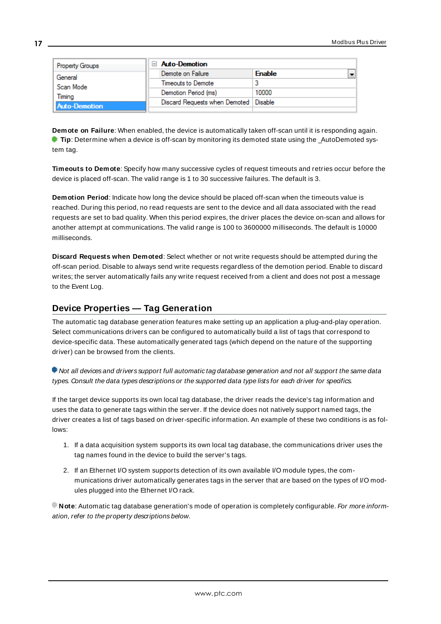| Property Groups      | <b>Auto-Demotion</b>                    |               |  |
|----------------------|-----------------------------------------|---------------|--|
| General              | Demote on Failure                       | <b>Enable</b> |  |
| Scan Mode            | Timeouts to Demote                      |               |  |
| Timina               | Demotion Period (ms)                    | 10000         |  |
| <b>Auto-Demotion</b> | Discard Requests when Demoted   Disable |               |  |
|                      |                                         |               |  |

<span id="page-16-1"></span>**Demote on Failure**: When enabled, the device is automatically taken off-scan until it is responding again. **Tip**: Determine when a device is off-scan by monitoring its demoted state using the \_AutoDemoted system tag.

<span id="page-16-4"></span>**Timeouts to Demote**: Specify how many successive cycles of request timeouts and retries occur before the device is placed off-scan. The valid range is 1 to 30 successive failures. The default is 3.

<span id="page-16-2"></span>**Demotion Period**: Indicate how long the device should be placed off-scan when the timeouts value is reached. During this period, no read requests are sent to the device and all data associated with the read requests are set to bad quality. When this period expires, the driver places the device on-scan and allows for another attempt at communications. The valid range is 100 to 3600000 milliseconds. The default is 10000 milliseconds.

<span id="page-16-3"></span>**Discard Requests when Demoted**: Select whether or not write requests should be attempted during the off-scan period. Disable to always send write requests regardless of the demotion period. Enable to discard writes; the server automatically fails any write request received from a client and does not post a message to the Event Log.

# <span id="page-16-0"></span>**Device Properties — Tag Generation**

The automatic tag database generation features make setting up an application a plug-and-play operation. Select communications drivers can be configured to automatically build a list of tags that correspond to device-specific data. These automatically generated tags (which depend on the nature of the supporting driver) can be browsed from the clients.

Not all devices and drivers support full automatic tag database generation and not all support the same data types. Consult the data types descriptions or the supported data type lists for each driver for specifics.

If the target device supports its own local tag database, the driver reads the device's tag information and uses the data to generate tags within the server. If the device does not natively support named tags, the driver creates a list of tags based on driver-specific information. An example of these two conditions is as follows:

- 1. If a data acquisition system supports its own local tag database, the communications driver uses the tag names found in the device to build the server's tags.
- 2. If an Ethernet I/O system supports detection of its own available I/O module types, the communications driver automatically generates tags in the server that are based on the types of I/O modules plugged into the Ethernet I/O rack.

**Note**: Automatic tag database generation's mode of operation is completely configurable. For more information, refer to the property descriptions below.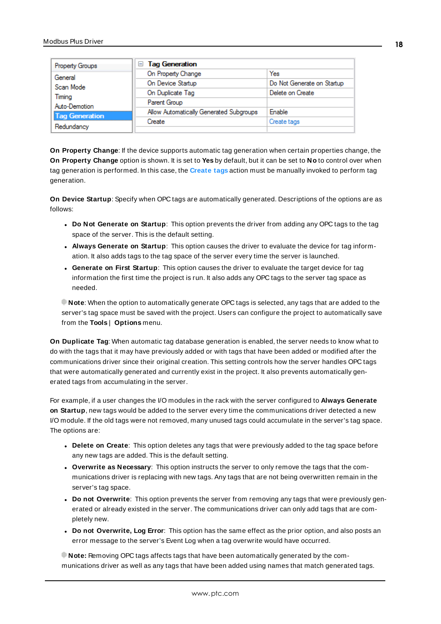| Property Groups                                 | <b>Tag Generation</b><br>$=$            |                            |
|-------------------------------------------------|-----------------------------------------|----------------------------|
| General<br>Scan Mode<br>Timina<br>Auto-Demotion | On Property Change                      | Yes                        |
|                                                 | On Device Startup                       | Do Not Generate on Startup |
|                                                 | On Duplicate Tag                        | Delete on Create           |
|                                                 | Parent Group                            |                            |
| <b>Tag Generation</b>                           | Allow Automatically Generated Subgroups | Enable                     |
| Redundancy                                      | Create                                  | Create tags                |
|                                                 |                                         |                            |

<span id="page-17-4"></span>**On Property Change**: If the device supports automatic tag generation when certain properties change, the **On Property Change** option is shown. It is set to **Yes** by default, but it can be set to **No** to control over when tag generation is performed. In this case, the **Create tags** action must be manually invoked to perform tag generation.

<span id="page-17-2"></span>**On Device Startup**: Specify when OPC tags are automatically generated. Descriptions of the options are as follows:

- <span id="page-17-1"></span><sup>l</sup> **Do Not Generate on Startup**: This option prevents the driver from adding any OPC tags to the tag space of the server. This is the default setting.
- <sup>l</sup> **Always Generate on Startup**: This option causes the driver to evaluate the device for tag information. It also adds tags to the tag space of the server every time the server is launched.
- <sup>l</sup> **Generate on First Startup**: This option causes the driver to evaluate the target device for tag information the first time the project is run. It also adds any OPC tags to the server tag space as needed.

**Note**: When the option to automatically generate OPC tags is selected, any tags that are added to the server's tag space must be saved with the project. Users can configure the project to automatically save from the **Tools** | **Options** menu.

<span id="page-17-3"></span>**On Duplicate Tag**: When automatic tag database generation is enabled, the server needs to know what to do with the tags that it may have previously added or with tags that have been added or modified after the communications driver since their original creation. This setting controls how the server handles OPC tags that were automatically generated and currently exist in the project. It also prevents automatically generated tags from accumulating in the server.

For example, if a user changes the I/O modules in the rack with the server configured to **Always Generate on Startup**, new tags would be added to the server every time the communications driver detected a new I/O module. If the old tags were not removed, many unused tags could accumulate in the server's tag space. The options are:

- <span id="page-17-0"></span>**.** Delete on Create: This option deletes any tags that were previously added to the tag space before any new tags are added. This is the default setting.
- <span id="page-17-5"></span><sup>l</sup> **Overwrite as Necessary**: This option instructs the server to only remove the tags that the communications driver is replacing with new tags. Any tags that are not being overwritten remain in the server's tag space.
- **Do** not Overwrite: This option prevents the server from removing any tags that were previously generated or already existed in the server. The communications driver can only add tags that are completely new.
- <sup>l</sup> **Do not Overwrite, Log Error**: This option has the same effect as the prior option, and also posts an error message to the server's Event Log when a tag overwrite would have occurred.

**Note:** Removing OPC tags affects tags that have been automatically generated by the communications driver as well as any tags that have been added using names that match generated tags.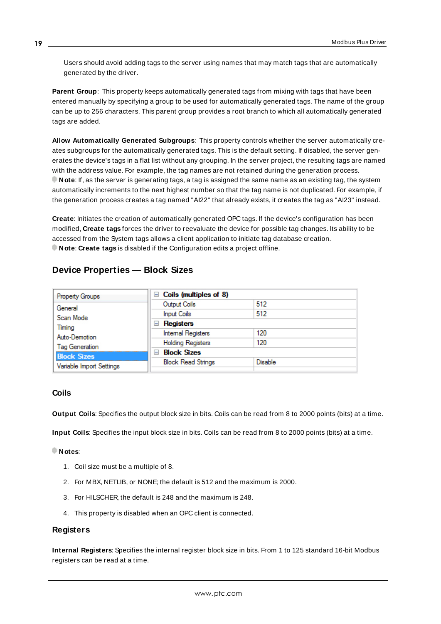Users should avoid adding tags to the server using names that may match tags that are automatically generated by the driver.

<span id="page-18-6"></span>**Parent Group**: This property keeps automatically generated tags from mixing with tags that have been entered manually by specifying a group to be used for automatically generated tags. The name of the group can be up to 256 characters. This parent group provides a root branch to which all automatically generated tags are added.

<span id="page-18-1"></span>**Allow Automatically Generated Subgroups**: This property controls whether the server automatically creates subgroups for the automatically generated tags. This is the default setting. If disabled, the server generates the device's tags in a flat list without any grouping. In the server project, the resulting tags are named with the address value. For example, the tag names are not retained during the generation process. **Note**: If, as the server is generating tags, a tag is assigned the same name as an existing tag, the system automatically increments to the next highest number so that the tag name is not duplicated. For example, if the generation process creates a tag named "AI22" that already exists, it creates the tag as "AI23" instead.

<span id="page-18-2"></span>**Create**: Initiates the creation of automatically generated OPC tags. If the device's configuration has been modified, **Create tags** forces the driver to reevaluate the device for possible tag changes. Its ability to be accessed from the System tags allows a client application to initiate tag database creation. **Note**: **Create tags** is disabled if the Configuration edits a project offline.

# <span id="page-18-0"></span>**Device Properties — Block Sizes**

| <b>Property Groups</b>   | $\Box$ Coils (multiples of 8) |                |
|--------------------------|-------------------------------|----------------|
| General                  | Output Coils                  | 512            |
| Scan Mode                | <b>Input Coils</b>            | 512            |
| Timina                   | Registers<br>ь                |                |
| Auto-Demotion            | <b>Internal Registers</b>     | 120            |
| <b>Tag Generation</b>    | <b>Holding Registers</b>      | 120            |
| <b>Block Sizes</b>       | <b>Block Sizes</b><br>н       |                |
|                          | <b>Block Read Strings</b>     | <b>Disable</b> |
| Variable Import Settings |                               |                |

## <span id="page-18-5"></span>**Coils**

<span id="page-18-3"></span>**Output Coils**: Specifies the output block size in bits. Coils can be read from 8 to 2000 points (bits) at a time.

**Input Coils**: Specifies the input block size in bits. Coils can be read from 8 to 2000 points (bits) at a time.

#### **Notes**:

- 1. Coil size must be a multiple of 8.
- 2. For MBX, NETLIB, or NONE; the default is 512 and the maximum is 2000.
- 3. For HILSCHER, the default is 248 and the maximum is 248.
- 4. This property is disabled when an OPC client is connected.

#### <span id="page-18-4"></span>**Registers**

**Internal Registers**: Specifies the internal register block size in bits. From 1 to 125 standard 16-bit Modbus registers can be read at a time.

**19**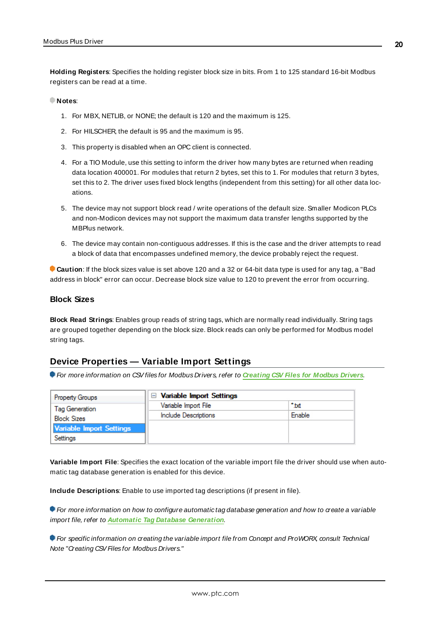<span id="page-19-2"></span>**Holding Registers**: Specifies the holding register block size in bits. From 1 to 125 standard 16-bit Modbus registers can be read at a time.

#### **Notes**:

- 1. For MBX, NETLIB, or NONE; the default is 120 and the maximum is 125.
- 2. For HILSCHER, the default is 95 and the maximum is 95.
- <span id="page-19-4"></span>3. This property is disabled when an OPC client is connected.
- 4. For a TIO Module, use this setting to inform the driver how many bytes are returned when reading data location 400001. For modules that return 2 bytes, set this to 1. For modules that return 3 bytes, set this to 2. The driver uses fixed block lengths (independent from this setting) for all other data locations.
- 5. The device may not support block read / write operations of the default size. Smaller Modicon PLCs and non-Modicon devices may not support the maximum data transfer lengths supported by the MBPlus network.
- 6. The device may contain non-contiguous addresses. If this is the case and the driver attempts to read a block of data that encompasses undefined memory, the device probably reject the request.

**Caution**: If the block sizes value is set above 120 and a 32 or 64-bit data type is used for any tag, a "Bad address in block" error can occur. Decrease block size value to 120 to prevent the error from occurring.

#### <span id="page-19-1"></span>**Block Sizes**

**Block Read Strings**: Enables group reads of string tags, which are normally read individually. String tags are grouped together depending on the block size. Block reads can only be performed for Modbus model string tags.

#### <span id="page-19-0"></span>**Device Properties — Variable Import Settings**

For more information on CSVfiles for Modbus Drivers, refer to **[Creating](https://www.kepware.com/en-us/support/resource-library/technical-notes/creating-csv-files-for-kepware-modbus-drivers/) CSV Files for Modbus Drivers**.

| <b>Property Groups</b>               | $\Box$ Variable Import Settings |                  |
|--------------------------------------|---------------------------------|------------------|
| Tag Generation<br><b>Block Sizes</b> | Variable Import File            | $^{\bullet}$ txt |
|                                      | Include Descriptions            | Enable           |
| Variable Import Settings             |                                 |                  |
| Settings                             |                                 |                  |

<span id="page-19-5"></span>**Variable Import File**: Specifies the exact location of the variable import file the driver should use when automatic tag database generation is enabled for this device.

<span id="page-19-3"></span>**Include Descriptions**: Enable to use imported tag descriptions (if present in file).

**• For more information on how to configure automatic tag database generation and how to create a variable** import file, refer to **Automatic Tag Database [Generation](#page-23-0)**.

**For specific information on creating the variable import file from Concept and ProWORX, consult Technical** Note "Creating CSV Files for Modbus Drivers."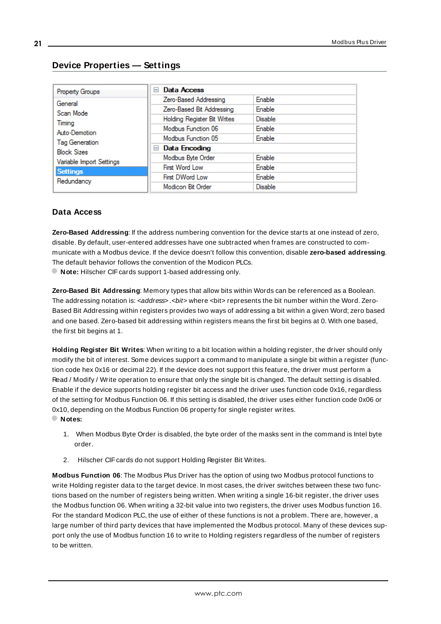| <b>Property Groups</b>                                    | Data Access<br>$\overline{ }$ |                |
|-----------------------------------------------------------|-------------------------------|----------------|
| General                                                   | Zero-Based Addressing         | Enable         |
| Scan Mode                                                 | Zero-Based Bit Addressing     | <b>Enable</b>  |
| Timina                                                    | Holding Register Bit Writes   | <b>Disable</b> |
| Auto-Demotion                                             | Modbus Function 06            | Enable         |
|                                                           | Modbus Function 05            | Enable         |
| Tag Generation<br><b>Block Sizes</b>                      | $\Box$ Data Encoding          |                |
|                                                           | Modbus Byte Order             | Enable         |
| Variable Import Settings<br><b>Settings</b><br>Redundancy | First Word Low                | Enable         |
|                                                           | First DWord Low               | Enable         |
|                                                           | Modicon Bit Order             | <b>Disable</b> |

## <span id="page-20-0"></span>**Device Properties — Settings**

## <span id="page-20-5"></span>**Data Access**

**Zero-Based Addressing**: If the address numbering convention for the device starts at one instead of zero, disable. By default, user-entered addresses have one subtracted when frames are constructed to communicate with a Modbus device. If the device doesn't follow this convention, disable **zero-based addressing**. The default behavior follows the convention of the Modicon PLCs.

<span id="page-20-6"></span><span id="page-20-2"></span>**Note:** Hilscher CIF cards support 1-based addressing only.

**Zero-Based Bit Addressing**: Memory types that allow bits within Words can be referenced as a Boolean. The addressing notation is: <address> .<br/>bit> where <bit>>bit> represents the bit number within the Word. Zero-Based Bit Addressing within registers provides two ways of addressing a bit within a given Word; zero based and one based. Zero-based bit addressing within registers means the first bit begins at 0. With one based, the first bit begins at 1.

<span id="page-20-3"></span>**Holding Register Bit Writes**: When writing to a bit location within a holding register, the driver should only modify the bit of interest. Some devices support a command to manipulate a single bit within a register (function code hex 0x16 or decimal 22). If the device does not support this feature, the driver must perform a Read / Modify / Write operation to ensure that only the single bit is changed. The default setting is disabled. Enable if the device supports holding register bit access and the driver uses function code 0x16, regardless of the setting for Modbus Function 06. If this setting is disabled, the driver uses either function code 0x06 or 0x10, depending on the Modbus Function 06 property for single register writes.

- <span id="page-20-4"></span>**Notes:**
	- 1. When Modbus Byte Order is disabled, the byte order of the masks sent in the command is Intel byte order.
	- 2. Hilscher CIF cards do not support Holding Register Bit Writes.

<span id="page-20-1"></span>**Modbus Function 06**: The Modbus Plus Driver has the option of using two Modbus protocol functions to write Holding register data to the target device. In most cases, the driver switches between these two functions based on the number of registers being written. When writing a single 16-bit register, the driver uses the Modbus function 06. When writing a 32-bit value into two registers, the driver uses Modbus function 16. For the standard Modicon PLC, the use of either of these functions is not a problem. There are, however, a large number of third party devices that have implemented the Modbus protocol. Many of these devices support only the use of Modbus function 16 to write to Holding registers regardless of the number of registers to be written.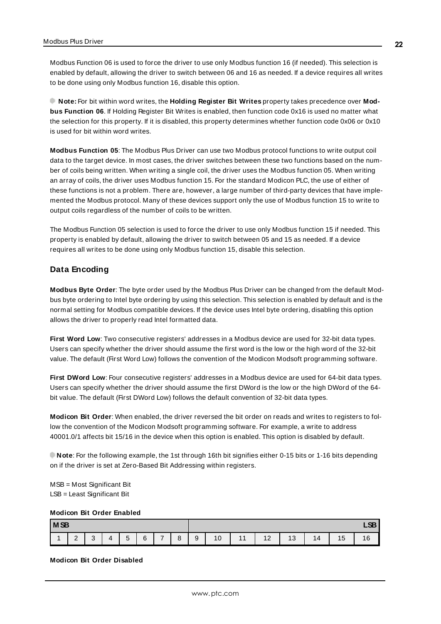Modbus Function 06 is used to force the driver to use only Modbus function 16 (if needed). This selection is enabled by default, allowing the driver to switch between 06 and 16 as needed. If a device requires all writes to be done using only Modbus function 16, disable this option.

**Note:** For bit within word writes, the **Holding Register Bit Writes** property takes precedence over **Modbus Function 06**. If Holding Register Bit Writes is enabled, then function code 0x16 is used no matter what the selection for this property. If it is disabled, this property determines whether function code 0x06 or 0x10 is used for bit within word writes.

<span id="page-21-3"></span>**Modbus Function 05**: The Modbus Plus Driver can use two Modbus protocol functions to write output coil data to the target device. In most cases, the driver switches between these two functions based on the number of coils being written. When writing a single coil, the driver uses the Modbus function 05. When writing an array of coils, the driver uses Modbus function 15. For the standard Modicon PLC, the use of either of these functions is not a problem. There are, however, a large number of third-party devices that have implemented the Modbus protocol. Many of these devices support only the use of Modbus function 15 to write to output coils regardless of the number of coils to be written.

The Modbus Function 05 selection is used to force the driver to use only Modbus function 15 if needed. This property is enabled by default, allowing the driver to switch between 05 and 15 as needed. If a device requires all writes to be done using only Modbus function 15, disable this selection.

#### <span id="page-21-0"></span>**Data Encoding**

**Modbus Byte Order**: The byte order used by the Modbus Plus Driver can be changed from the default Modbus byte ordering to Intel byte ordering by using this selection. This selection is enabled by default and is the normal setting for Modbus compatible devices. If the device uses Intel byte ordering, disabling this option allows the driver to properly read Intel formatted data.

<span id="page-21-2"></span>**First Word Low**: Two consecutive registers' addresses in a Modbus device are used for 32-bit data types. Users can specify whether the driver should assume the first word is the low or the high word of the 32-bit value. The default (First Word Low) follows the convention of the Modicon Modsoft programming software.

<span id="page-21-1"></span>**First DWord Low**: Four consecutive registers' addresses in a Modbus device are used for 64-bit data types. Users can specify whether the driver should assume the first DWord is the low or the high DWord of the 64 bit value. The default (First DWord Low) follows the default convention of 32-bit data types.

<span id="page-21-4"></span>**Modicon Bit Order**: When enabled, the driver reversed the bit order on reads and writes to registers to follow the convention of the Modicon Modsoft programming software. For example, a write to address 40001.0/1 affects bit 15/16 in the device when this option is enabled. This option is disabled by default.

**Note**: For the following example, the 1st through 16th bit signifies either 0-15 bits or 1-16 bits depending on if the driver is set at Zero-Based Bit Addressing within registers.

MSB = Most Significant Bit LSB = Least Significant Bit

#### **Modicon Bit Order Enabled**

| <b>MSB</b> |             |             |          |                 |   |               |              |        |    | $\sim$<br>►           |    |    |          |                                |                 |
|------------|-------------|-------------|----------|-----------------|---|---------------|--------------|--------|----|-----------------------|----|----|----------|--------------------------------|-----------------|
|            | $\sim$<br>- | $\sim$<br>ັ | $\Delta$ | $\sqrt{2}$<br>ັ | 6 | $\rightarrow$ | $\circ$<br>O | a<br>ັ | 10 | $\overline{A}$<br>. . | 12 | 13 | 14<br>דו | $\overline{ }$<br>$\mathsf{C}$ | $\sqrt{2}$<br>ັ |

#### **Modicon Bit Order Disabled**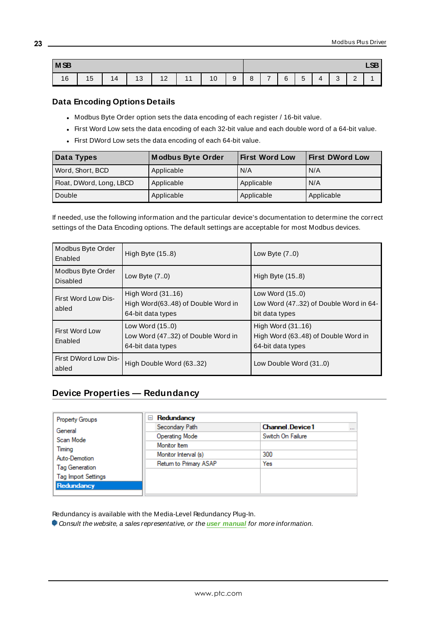| M <sub>SB</sub> |                      |    |           |    |    |    |   |   |                          |   |                                    | $\sim$<br>∼ |             |             |  |
|-----------------|----------------------|----|-----------|----|----|----|---|---|--------------------------|---|------------------------------------|-------------|-------------|-------------|--|
| 16<br>10        | $\overline{ }$<br>15 | 14 | 10<br>. ب | 12 | 11 | 10 | 9 | 8 | $\overline{\phantom{0}}$ | 6 | $\overline{\phantom{0}}$<br>∽<br>J | Δ           | $\sim$<br>ັ | $\sim$<br>- |  |

#### <span id="page-22-1"></span>**Data Encoding Options Details**

- Modbus Byte Order option sets the data encoding of each register / 16-bit value.
- First Word Low sets the data encoding of each 32-bit value and each double word of a 64-bit value.
- First DWord Low sets the data encoding of each 64-bit value.

| Data Types               | <b>Modbus Byte Order</b> | <b>First Word Low</b> | <b>First DWord Low</b> |
|--------------------------|--------------------------|-----------------------|------------------------|
| Word, Short, BCD         | Applicable               | N/A                   | N/A                    |
| Float, DWord, Long, LBCD | Applicable               | Applicable            | N/A                    |
| Double                   | Applicable               | Applicable            | Applicable             |

If needed, use the following information and the particular device's documentation to determine the correct settings of the Data Encoding options. The default settings are acceptable for most Modbus devices.

| Modbus Byte Order<br>Enabled  | High Byte (15.8)                                                           | Low Byte $(7.0)$                                                            |
|-------------------------------|----------------------------------------------------------------------------|-----------------------------------------------------------------------------|
| Modbus Byte Order<br>Disabled | Low Byte $(7.0)$                                                           | High Byte (15.8)                                                            |
| First Word Low Dis-<br>abled  | High Word (3116)<br>High Word(6348) of Double Word in<br>64-bit data types | Low Word (150)<br>Low Word (4732) of Double Word in 64-<br>bit data types   |
| First Word Low<br>Enabled     | Low Word (150)<br>Low Word (4732) of Double Word in<br>64-bit data types   | High Word (3116)<br>High Word (6348) of Double Word in<br>64-bit data types |
| First DWord Low Dis-<br>abled | High Double Word (6332)                                                    | Low Double Word (310)                                                       |

# <span id="page-22-0"></span>**Device Properties — Redundancy**

| <b>Property Groups</b>     | Redundancy<br>$=$      |                                  |
|----------------------------|------------------------|----------------------------------|
| General                    | Secondary Path         | <b>Channel Device1</b><br>$\sim$ |
| Scan Mode                  | Operating Mode         | Switch On Failure                |
| Timing                     | Monitor Item           |                                  |
| Auto-Demotion              | Monitor Interval (s)   | 300                              |
| Tag Generation             | Return to Primary ASAP | Yes                              |
|                            |                        |                                  |
| <b>Tag Import Settings</b> |                        |                                  |
| Redundancy                 |                        |                                  |

Redundancy is available with the Media-Level Redundancy Plug-In.

Consult the website, a sales representative, or the **user [manual](https://www.kepware.com/getattachment/35461efd-b53a-4219-a109-a89fad20b230/media-level-redundancy-manual.pdf)** for more information.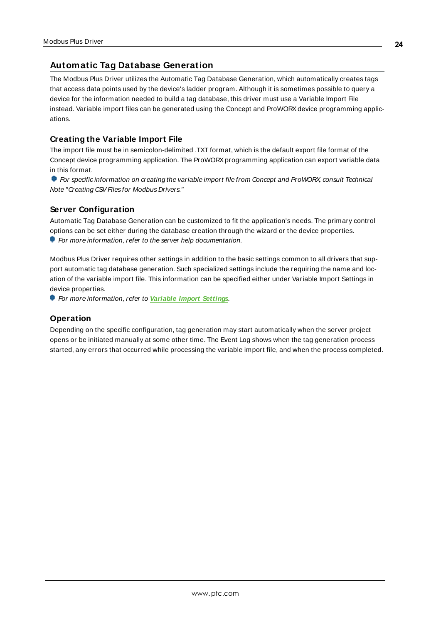# <span id="page-23-0"></span>**Automatic Tag Database Generation**

The Modbus Plus Driver utilizes the Automatic Tag Database Generation, which automatically creates tags that access data points used by the device's ladder program. Although it is sometimes possible to query a device for the information needed to build a tag database, this driver must use a Variable Import File instead. Variable import files can be generated using the Concept and ProWORX device programming applications.

## <span id="page-23-3"></span><span id="page-23-1"></span>**Creating the Variable Import File**

The import file must be in semicolon-delimited .TXT format, which is the default export file format of the Concept device programming application. The ProWORX programming application can export variable data in this format.

**For specific information on creating the variable import file from Concept and ProWORX, consult Technical** Note "Creating CSV Files for Modbus Drivers."

## <span id="page-23-2"></span>**Server Configuration**

Automatic Tag Database Generation can be customized to fit the application's needs. The primary control options can be set either during the database creation through the wizard or the device properties. For more information, refer to the server help documentation.

Modbus Plus Driver requires other settings in addition to the basic settings common to all drivers that support automatic tag database generation. Such specialized settings include the requiring the name and location of the variable import file. This information can be specified either under Variable Import Settings in device properties.

For more information, refer to **[Variable](#page-19-0) Import Settings**.

## **Operation**

Depending on the specific configuration, tag generation may start automatically when the server project opens or be initiated manually at some other time. The Event Log shows when the tag generation process started, any errors that occurred while processing the variable import file, and when the process completed.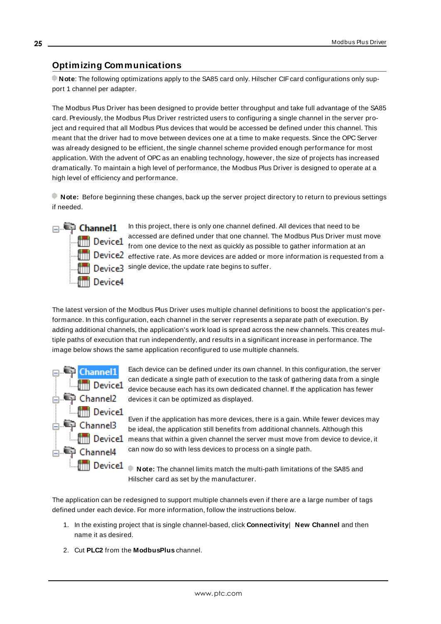# <span id="page-24-3"></span><span id="page-24-0"></span>**Optimizing Communications**

**Note:** The following optimizations apply to the SA85 card only. Hilscher CIF card configurations only support 1 channel per adapter.

The Modbus Plus Driver has been designed to provide better throughput and take full advantage of the SA85 card. Previously, the Modbus Plus Driver restricted users to configuring a single channel in the server project and required that all Modbus Plus devices that would be accessed be defined under this channel. This meant that the driver had to move between devices one at a time to make requests. Since the OPC Server was already designed to be efficient, the single channel scheme provided enough performance for most application. With the advent of OPC as an enabling technology, however, the size of projects has increased dramatically. To maintain a high level of performance, the Modbus Plus Driver is designed to operate at a high level of efficiency and performance.

**Note:** Before beginning these changes, back up the server project directory to return to previous settings if needed.



In this project, there is only one channel defined. All devices that need to be accessed are defined under that one channel. The Modbus Plus Driver must move Figure 1 accessed and defined and the control of the possible to gather information at an  $\parallel$   $\parallel$  Device2  $\,$  effective rate. As more devices are added or more information is requested from a Device3 single device, the update rate begins to suffer.

<span id="page-24-1"></span>The latest version of the Modbus Plus Driver uses multiple channel definitions to boost the application's performance. In this configuration, each channel in the server represents a separate path of execution. By adding additional channels, the application's work load is spread across the new channels. This creates multiple paths of execution that run independently, and results in a significant increase in performance. The image below shows the same application reconfigured to use multiple channels.



Each device can be defined under its own channel. In this configuration, the server can dedicate a single path of execution to the task of gathering data from a single device because each has its own dedicated channel. If the application has fewer devices it can be optimized as displayed.

Even if the application has more devices, there is a gain. While fewer devices may be ideal, the application still benefits from additional channels. Although this **EMPHINE DEVICE1** means that within a given channel the server must move from device to device, it can now do so with less devices to process on a single path.

**Note:** The channel limits match the multi-path limitations of the SA85 and Hilscher card as set by the manufacturer.

The application can be redesigned to support multiple channels even if there are a large number of tags defined under each device. For more information, follow the instructions below.

- <span id="page-24-2"></span>1. In the existing project that is single channel-based, click **Connectivity**| **New Channel** and then name it as desired.
- 2. Cut **PLC2** from the **ModbusPlus** channel.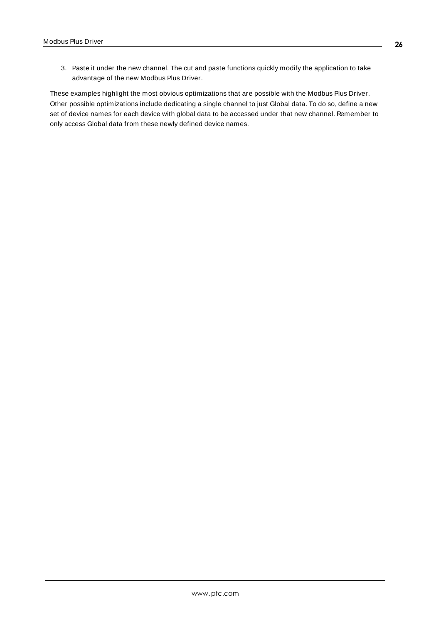3. Paste it under the new channel. The cut and paste functions quickly modify the application to take advantage of the new Modbus Plus Driver.

<span id="page-25-0"></span>These examples highlight the most obvious optimizations that are possible with the Modbus Plus Driver. Other possible optimizations include dedicating a single channel to just Global data. To do so, define a new set of device names for each device with global data to be accessed under that new channel. Remember to only access Global data from these newly defined device names.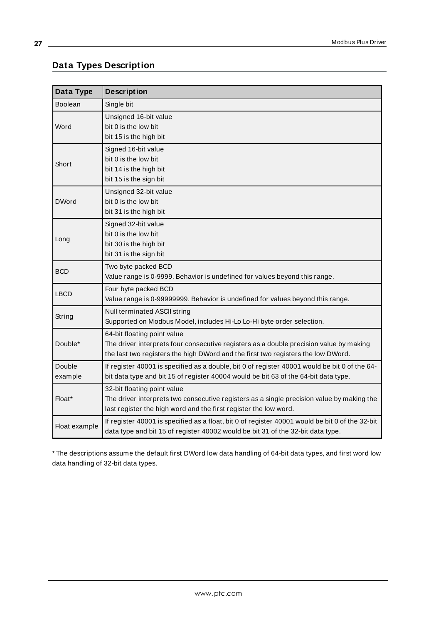# <span id="page-26-0"></span>**Data Types Description**

<span id="page-26-12"></span><span id="page-26-11"></span><span id="page-26-9"></span><span id="page-26-8"></span><span id="page-26-7"></span><span id="page-26-4"></span><span id="page-26-2"></span><span id="page-26-1"></span>

| Data Type         | <b>Description</b>                                                                                                                                                                                        |
|-------------------|-----------------------------------------------------------------------------------------------------------------------------------------------------------------------------------------------------------|
| <b>Boolean</b>    | Single bit                                                                                                                                                                                                |
| Word              | Unsigned 16-bit value<br>bit 0 is the low bit<br>bit 15 is the high bit                                                                                                                                   |
| Short             | Signed 16-bit value<br>bit 0 is the low bit<br>bit 14 is the high bit<br>bit 15 is the sign bit                                                                                                           |
| <b>DWord</b>      | Unsigned 32-bit value<br>bit 0 is the low bit<br>bit 31 is the high bit                                                                                                                                   |
| Long              | Signed 32-bit value<br>bit 0 is the low bit<br>bit 30 is the high bit<br>bit 31 is the sign bit                                                                                                           |
| <b>BCD</b>        | Two byte packed BCD<br>Value range is 0-9999. Behavior is undefined for values beyond this range.                                                                                                         |
| <b>LBCD</b>       | Four byte packed BCD<br>Value range is 0-99999999. Behavior is undefined for values beyond this range.                                                                                                    |
| String            | Null terminated ASCII string<br>Supported on Modbus Model, includes Hi-Lo Lo-Hi byte order selection.                                                                                                     |
| Double*           | 64-bit floating point value<br>The driver interprets four consecutive registers as a double precision value by making<br>the last two registers the high DWord and the first two registers the low DWord. |
| Double<br>example | If register 40001 is specified as a double, bit 0 of register 40001 would be bit 0 of the 64-<br>bit data type and bit 15 of register 40004 would be bit 63 of the 64-bit data type.                      |
| Float*            | 32-bit floating point value<br>The driver interprets two consecutive registers as a single precision value by making the<br>last register the high word and the first register the low word.              |
| Float example     | If register 40001 is specified as a float, bit 0 of register 40001 would be bit 0 of the 32-bit<br>data type and bit 15 of register 40002 would be bit 31 of the 32-bit data type.                        |

<span id="page-26-10"></span><span id="page-26-6"></span><span id="page-26-5"></span><span id="page-26-3"></span>\* The descriptions assume the default first DWord low data handling of 64-bit data types, and first word low data handling of 32-bit data types.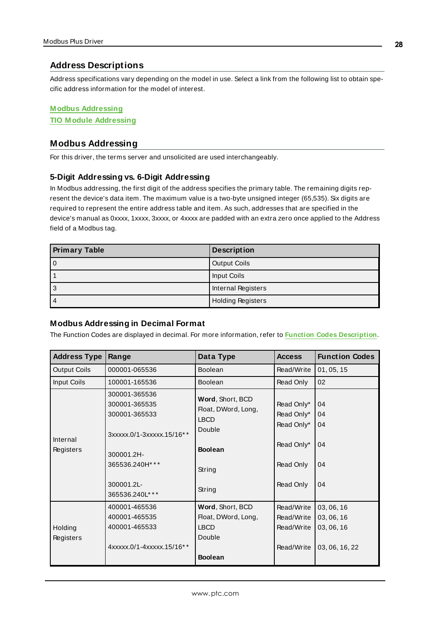#### <span id="page-27-0"></span>**Address Descriptions**

Address specifications vary depending on the model in use. Select a link from the following list to obtain specific address information for the model of interest.

#### **M odbus [Addressing](#page-27-1)**

<span id="page-27-1"></span>**TIO M odule [Addressing](#page-32-0)**

### **Modbus Addressing**

<span id="page-27-2"></span>For this driver, the terms server and unsolicited are used interchangeably.

#### **5-Digit Addressing vs. 6-Digit Addressing**

In Modbus addressing, the first digit of the address specifies the primary table. The remaining digits represent the device's data item. The maximum value is a two-byte unsigned integer (65,535). Six digits are required to represent the entire address table and item. As such, addresses that are specified in the device's manual as 0xxxx, 1xxxx, 3xxxx, or 4xxxx are padded with an extra zero once applied to the Address field of a Modbus tag.

<span id="page-27-8"></span><span id="page-27-7"></span><span id="page-27-6"></span>

| <b>Primary Table</b> | <b>Description</b>       |
|----------------------|--------------------------|
| 0                    | Output Coils             |
|                      | Input Coils              |
| 3                    | Internal Registers       |
| $\overline{4}$       | <b>Holding Registers</b> |

#### <span id="page-27-5"></span><span id="page-27-4"></span><span id="page-27-3"></span>**Modbus Addressing in Decimal Format**

The Function Codes are displayed in decimal. For more information, refer to **Function Codes [Description](#page-30-0)**.

| <b>Address Type</b>   | Range                                                                                                                                        | Data Type                                                                                              | <b>Access</b>                                                                  | <b>Function Codes</b>                                    |
|-----------------------|----------------------------------------------------------------------------------------------------------------------------------------------|--------------------------------------------------------------------------------------------------------|--------------------------------------------------------------------------------|----------------------------------------------------------|
| <b>Output Coils</b>   | 000001-065536                                                                                                                                | <b>Boolean</b>                                                                                         | Read/Write                                                                     | 01, 05, 15                                               |
| Input Coils           | 100001-165536                                                                                                                                | <b>Boolean</b>                                                                                         | Read Only                                                                      | 02                                                       |
| Internal<br>Registers | 300001-365536<br>300001-365535<br>300001-365533<br>3xxxxx.0/1-3xxxxx.15/16**<br>300001.2H-<br>365536.240H***<br>300001.2L-<br>365536.240L*** | Word, Short, BCD<br>Float, DWord, Long,<br><b>LBCD</b><br>Double<br><b>Boolean</b><br>String<br>String | Read Only*<br>Read Only*<br>Read Only*<br>Read Only*<br>Read Only<br>Read Only | 04<br>04<br>04<br>04<br>04<br>04                         |
| Holding<br>Registers  | 400001-465536<br>400001-465535<br>400001-465533<br>4xxxxx.0/1-4xxxxx.15/16**                                                                 | Word, Short, BCD<br>Float, DWord, Long,<br><b>LBCD</b><br>Double<br><b>Boolean</b>                     | Read/Write<br>Read/Write<br>Read/Write<br>Read/Write                           | 03, 06, 16<br>03, 06, 16<br>03, 06, 16<br>03, 06, 16, 22 |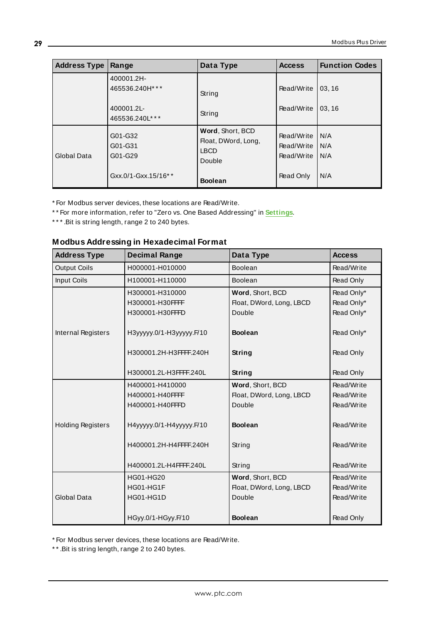| <b>Address Type</b> | Range                                                        | Data Type                                                                          | <b>Access</b>                                       | <b>Function Codes</b>     |
|---------------------|--------------------------------------------------------------|------------------------------------------------------------------------------------|-----------------------------------------------------|---------------------------|
|                     | 400001.2H-<br>465536.240H***<br>400001.2L-<br>465536.240L*** | String<br>String                                                                   | Read/Write<br>Read/Write                            | 03, 16<br>03.16           |
| Global Data         | G01-G32<br>G01-G31<br>G01-G29<br>Gxx.0/1-Gxx.15/16**         | Word, Short, BCD<br>Float, DWord, Long,<br><b>LBCD</b><br>Double<br><b>Boolean</b> | Read/Write<br>Read/Write<br>Read/Write<br>Read Only | N/A<br>N/A<br>IN/A<br>N/A |

\* For Modbus server devices, these locations are Read/Write.

\* \* For more information, refer to "Zero vs. One Based Addressing" in **[Settings](#page-20-0)**.

<span id="page-28-0"></span>\*\*\*. Bit is string length, range 2 to 240 bytes.

# **Modbus Addressing in Hexadecimal Format**

| <b>Address Type</b>      | <b>Decimal Range</b>      | Data Type                | <b>Access</b> |
|--------------------------|---------------------------|--------------------------|---------------|
| <b>Output Coils</b>      | H000001-H010000           | <b>Boolean</b>           | Read/Write    |
| <b>Input Coils</b>       | H100001-H110000           | Boolean                  | Read Only     |
|                          | H300001-H310000           | Word, Short, BCD         | Read Only*    |
|                          | H300001-H30FFFF           | Float, DWord, Long, LBCD | Read Only*    |
|                          | H300001-H30FFFD           | Double                   | Read Only*    |
| Internal Registers       | НЗууууу.0/1-НЗууууу. Г/10 | <b>Boolean</b>           | Read Only*    |
|                          | H300001.2H-H3FFFF.240H    | String                   | Read Only     |
|                          |                           |                          |               |
|                          | H300001.2L-H3FFFF.240L    | String                   | Read Only     |
|                          | H400001-H410000           | Word, Short, BCD         | Read/Write    |
|                          | H400001-H40FFFF           | Float, DWord, Long, LBCD | Read/Write    |
|                          | H400001-H40FFFD           | Double                   | Read/Write    |
| <b>Holding Registers</b> | H4yyyyy.0/1-H4yyyyy.F/10  | <b>Boolean</b>           | Read/Write    |
|                          | H400001.2H-H4FFFF.240H    | String                   | Read/Write    |
|                          | H400001.2L-H4FFFF.240L    | String                   | Read/Write    |
|                          | <b>HG01-HG20</b>          | Word, Short, BCD         | Read/Write    |
|                          | HG01-HG1F                 | Float, DWord, Long, LBCD | Read/Write    |
| Global Data              | HG01-HG1D                 | Double                   | Read/Write    |
|                          | HGyy.0/1-HGyy.F/10        | <b>Boolean</b>           | Read Only     |

\* For Modbus server devices, these locations are Read/Write.

\* \* .Bit is string length, range 2 to 240 bytes.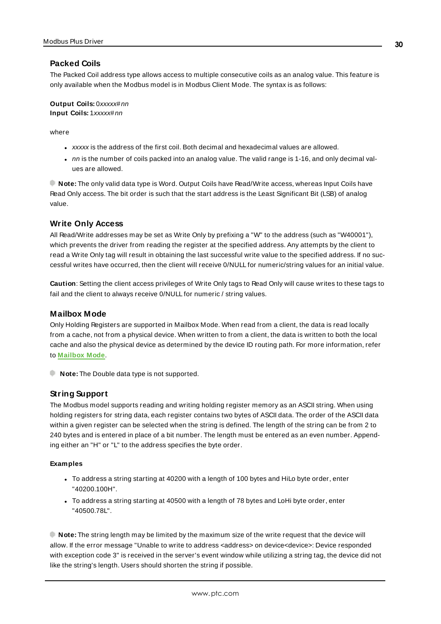#### <span id="page-29-1"></span>**Packed Coils**

The Packed Coil address type allows access to multiple consecutive coils as an analog value. This feature is only available when the Modbus model is in Modbus Client Mode. The syntax is as follows:

**Output Coils:** 0xxxxx#nn **Input Coils:** 1xxxxx#nn

where

- xxxxx is the address of the first coil. Both decimal and hexadecimal values are allowed.
- $\cdot$  nn is the number of coils packed into an analog value. The valid range is 1-16, and only decimal values are allowed.

**Note:** The only valid data type is Word. Output Coils have Read/Write access, whereas Input Coils have Read Only access. The bit order is such that the start address is the Least Significant Bit (LSB) of analog value.

#### <span id="page-29-3"></span>**Write Only Access**

All Read/Write addresses may be set as Write Only by prefixing a "W" to the address (such as "W40001"), which prevents the driver from reading the register at the specified address. Any attempts by the client to read a Write Only tag will result in obtaining the last successful write value to the specified address. If no successful writes have occurred, then the client will receive 0/NULL for numeric/string values for an initial value.

**Caution**: Setting the client access privileges of Write Only tags to Read Only will cause writes to these tags to fail and the client to always receive 0/NULL for numeric / string values.

#### <span id="page-29-0"></span>**Mailbox Mode**

Only Holding Registers are supported in Mailbox Mode. When read from a client, the data is read locally from a cache, not from a physical device. When written to from a client, the data is written to both the local cache and also the physical device as determined by the device ID routing path. For more information, refer to **[Mailbox](#page-11-0) Mode**.

<span id="page-29-2"></span>**Note:** The Double data type is not supported.

#### **String Support**

The Modbus model supports reading and writing holding register memory as an ASCII string. When using holding registers for string data, each register contains two bytes of ASCII data. The order of the ASCII data within a given register can be selected when the string is defined. The length of the string can be from 2 to 240 bytes and is entered in place of a bit number. The length must be entered as an even number. Appending either an "H" or "L" to the address specifies the byte order.

#### **Examples**

- To address a string starting at 40200 with a length of 100 bytes and HiLo byte order, enter "40200.100H".
- To address a string starting at 40500 with a length of 78 bytes and LoHi byte order, enter "40500.78L".

**Note:** The string length may be limited by the maximum size of the write request that the device will allow. If the error message "Unable to write to address <address> on device<device>: Device responded with exception code 3" is received in the server's event window while utilizing a string tag, the device did not like the string's length. Users should shorten the string if possible.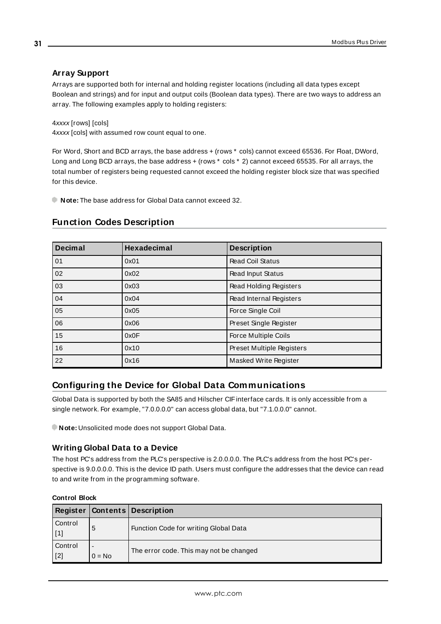# <span id="page-30-2"></span>**Array Support**

Arrays are supported both for internal and holding register locations (including all data types except Boolean and strings) and for input and output coils (Boolean data types). There are two ways to address an array. The following examples apply to holding registers:

4xxxx [rows] [cols]

4xxxx [cols] with assumed row count equal to one.

For Word, Short and BCD arrays, the base address + (rows \* cols) cannot exceed 65536. For Float, DWord, Long and Long BCD arrays, the base address + (rows  $*$  cols  $*$  2) cannot exceed 65535. For all arrays, the total number of registers being requested cannot exceed the holding register block size that was specified for this device.

<span id="page-30-0"></span>**Note:** The base address for Global Data cannot exceed 32.

# **Function Codes Description**

<span id="page-30-14"></span><span id="page-30-13"></span><span id="page-30-12"></span><span id="page-30-11"></span><span id="page-30-10"></span><span id="page-30-7"></span><span id="page-30-5"></span><span id="page-30-3"></span>

| <b>Decimal</b>  | Hexadecimal | <b>Description</b>               |
|-----------------|-------------|----------------------------------|
| 01              | 0x01        | <b>Read Coil Status</b>          |
| $\overline{02}$ | 0x02        | Read Input Status                |
| $\overline{03}$ | 0x03        | Read Holding Registers           |
| 04              | 0x04        | Read Internal Registers          |
| 05              | 0x05        | Force Single Coil                |
| 06              | 0x06        | Preset Single Register           |
| 15              | 0x0F        | Force Multiple Coils             |
| 16              | 0x10        | <b>Preset Multiple Registers</b> |
| $\overline{22}$ | 0x16        | Masked Write Register            |

# <span id="page-30-9"></span><span id="page-30-8"></span><span id="page-30-4"></span><span id="page-30-1"></span>**Configuring the Device for Global Data Communications**

Global Data is supported by both the SA85 and Hilscher CIFinterface cards. It is only accessible from a single network. For example, "7.0.0.0.0" can access global data, but "7.1.0.0.0" cannot.

<span id="page-30-6"></span>**Note:** Unsolicited mode does not support Global Data.

## **Writing Global Data to a Device**

The host PC's address from the PLC's perspective is 2.0.0.0.0. The PLC's address from the host PC's perspective is 9.0.0.0.0. This is the device ID path. Users must configure the addresses that the device can read to and write from in the programming software.

| Register       |               | <b>Contents Description</b>             |
|----------------|---------------|-----------------------------------------|
| Control        | 5             | Function Code for writing Global Data   |
| Control<br>[2] | -<br>$0 = No$ | The error code. This may not be changed |

#### **Control Block**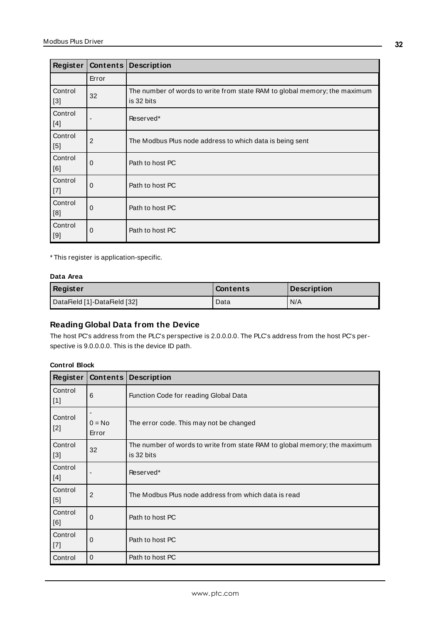| Register         |       | Contents   Description                                                                  |
|------------------|-------|-----------------------------------------------------------------------------------------|
|                  | Error |                                                                                         |
| Control<br>$[3]$ | 32    | The number of words to write from state RAM to global memory; the maximum<br>is 32 bits |
| Control<br>[4]   |       | Reserved*                                                                               |
| Control<br>[5]   | 2     | The Modbus Plus node address to which data is being sent                                |
| Control<br>[6]   | 0     | Path to host PC                                                                         |
| Control<br>$[7]$ | 0     | Path to host PC                                                                         |
| Control<br>[8]   | 0     | Path to host PC                                                                         |
| Control<br>[9]   | 0     | Path to host PC                                                                         |

\* This register is application-specific.

#### **Data Area**

| Register                     | Contents | Description |
|------------------------------|----------|-------------|
| DataField [1]-DataField [32] | Data     | N/A         |

# **Reading Global Data from the Device**

The host PC's address from the PLC's perspective is 2.0.0.0.0. The PLC's address from the host PC's perspective is 9.0.0.0.0. This is the device ID path.

#### **Control Block**

| Register         | Contents          | <b>Description</b>                                                                      |
|------------------|-------------------|-----------------------------------------------------------------------------------------|
| Control<br>  [1] | 6                 | Function Code for reading Global Data                                                   |
| Control<br>$[2]$ | $0 = No$<br>Error | The error code. This may not be changed                                                 |
| Control<br>$[3]$ | 32                | The number of words to write from state RAM to global memory; the maximum<br>is 32 bits |
| Control<br>[4]   |                   | Reserved*                                                                               |
| Control<br>$[5]$ | $\overline{2}$    | The Modbus Plus node address from which data is read                                    |
| Control<br>[6]   | $\mathbf 0$       | Path to host PC                                                                         |
| Control<br>  [7] | $\mathbf 0$       | Path to host PC                                                                         |
| Control          | $\Omega$          | Path to host PC                                                                         |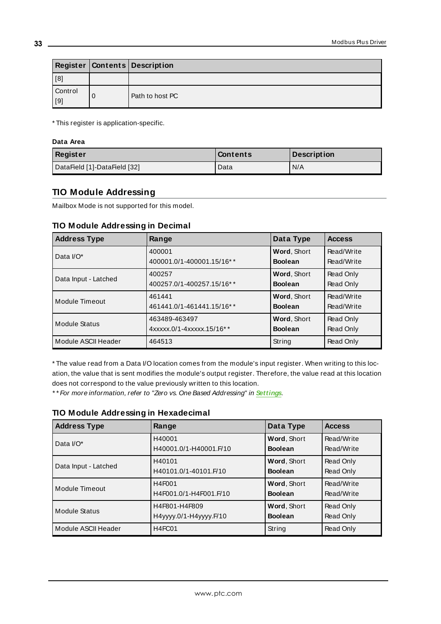|                | <b>Register   Contents   Description</b> |
|----------------|------------------------------------------|
| [8]            |                                          |
| Control<br>[9] | Path to host PC                          |

\* This register is application-specific.

#### **Data Area**

| Register                     | <b>Contents</b> | Description |
|------------------------------|-----------------|-------------|
| DataField [1]-DataField [32] | Data            | N/A         |

# <span id="page-32-0"></span>**TIO Module Addressing**

<span id="page-32-1"></span>Mailbox Mode is not supported for this model.

#### **TIO Module Addressing in Decimal**

<span id="page-32-3"></span>

| <b>Address Type</b>  | Range                     | Data Type      | <b>Access</b> |
|----------------------|---------------------------|----------------|---------------|
| Data $IVO*$          | 400001                    | Word, Short    | Read/Write    |
|                      | 400001.0/1-400001.15/16** | <b>Boolean</b> | Read/Write    |
| Data Input - Latched | 400257                    | Word, Short    | Read Only     |
|                      | 400257.0/1-400257.15/16** | <b>Boolean</b> | Read Only     |
| Module Timeout       | 461441                    | Word, Short    | Read/Write    |
|                      | 461441.0/1-461441.15/16** | <b>Boolean</b> | Read/Write    |
| <b>Module Status</b> | 463489-463497             | Word, Short    | Read Only     |
|                      | 4xxxxx.0/1-4xxxxx.15/16** | <b>Boolean</b> | Read Only     |
| Module ASCII Header  | 464513                    | String         | Read Only     |

\* The value read from a Data I/O location comes from the module's input register. When writing to this location, the value that is sent modifies the module's output register. Therefore, the value read at this location does not correspond to the value previously written to this location.

<span id="page-32-2"></span>\* \* For more information, refer to "Zero vs. One Based Addressing" in **[Settings](#page-20-0)**.

## **TIO Module Addressing in Hexadecimal**

| <b>Address Type</b>   | Range                           | Data Type          | <b>Access</b> |
|-----------------------|---------------------------------|--------------------|---------------|
| Data $I/O^*$          | H40001                          | Word, Short        | Read/Write    |
|                       | H40001.0/1-H40001.F/10          | <b>Boolean</b>     | Read/Write    |
| Data Input - Latched  | H40101                          | <b>Word, Short</b> | Read Only     |
|                       | H40101.0/1-40101.F/10           | <b>Boolean</b>     | Read Only     |
| <b>Module Timeout</b> | H4F001                          | <b>Word, Short</b> | Read/Write    |
|                       | H4F001.0/1-H4F001.F/10          | <b>Boolean</b>     | Read/Write    |
| Module Status         | H4F801-H4F809                   | Word, Short        | Read Only     |
|                       | H4yyyy.0/1-H4yyyy.F/10          | <b>Boolean</b>     | Read Only     |
| Module ASCII Header   | H <sub>4</sub> FC <sub>01</sub> | String             | Read Only     |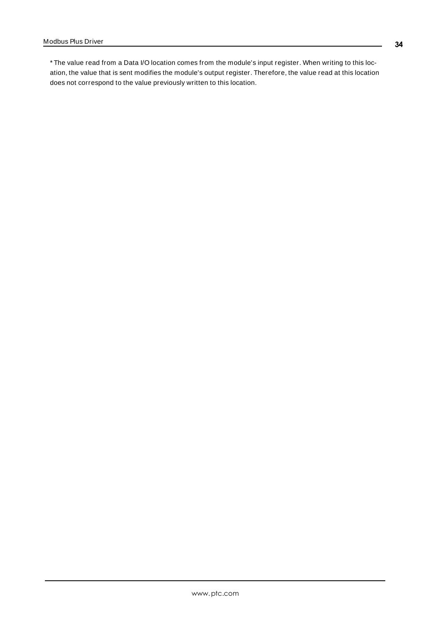\* The value read from a Data I/O location comes from the module's input register. When writing to this location, the value that is sent modifies the module's output register. Therefore, the value read at this location does not correspond to the value previously written to this location.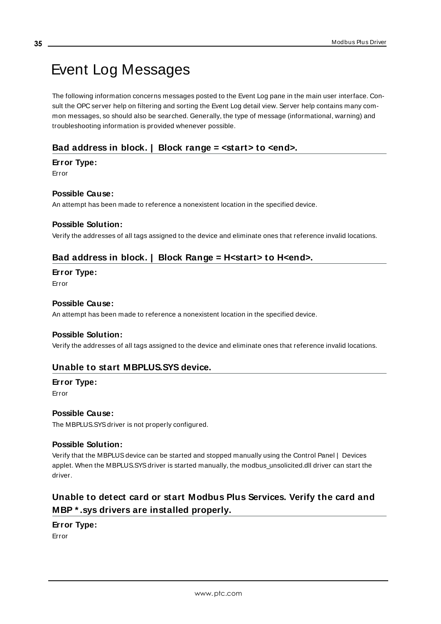# <span id="page-34-0"></span>Event Log Messages

The following information concerns messages posted to the Event Log pane in the main user interface. Consult the OPC server help on filtering and sorting the Event Log detail view. Server help contains many common messages, so should also be searched. Generally, the type of message (informational, warning) and troubleshooting information is provided whenever possible.

# <span id="page-34-1"></span>**Bad address in block. | Block range = <start> to <end>.**

#### **Error Type:**

Error

## **Possible Cause:**

An attempt has been made to reference a nonexistent location in the specified device.

#### **Possible Solution:**

<span id="page-34-2"></span>Verify the addresses of all tags assigned to the device and eliminate ones that reference invalid locations.

## **Bad address in block. | Block Range = H<start> to H<end>.**

# **Error Type:**

Error

#### **Possible Cause:**

An attempt has been made to reference a nonexistent location in the specified device.

#### **Possible Solution:**

<span id="page-34-3"></span>Verify the addresses of all tags assigned to the device and eliminate ones that reference invalid locations.

# **Unable to start MBPLUS.SYS device.**

#### **Error Type:** Error

#### **Possible Cause:**

The MBPLUS.SYS driver is not properly configured.

#### **Possible Solution:**

Verify that the MBPLUSdevice can be started and stopped manually using the Control Panel | Devices applet. When the MBPLUS.SYSdriver is started manually, the modbus\_unsolicited.dll driver can start the driver.

# <span id="page-34-4"></span>**Unable to detect card or start Modbus Plus Services. Verify the card and MBP \* .sys drivers are installed properly.**

# **Error Type:**

Error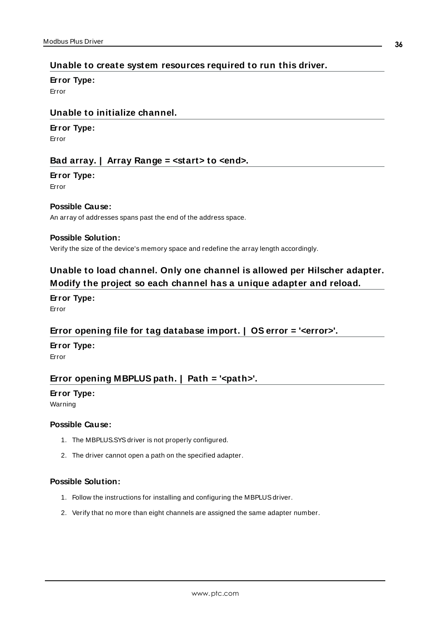# <span id="page-35-0"></span>**Unable to create system resources required to run this driver.**

#### **Error Type:**

<span id="page-35-1"></span>Error

# **Unable to initialize channel.**

#### **Error Type:**

<span id="page-35-2"></span>Error

# **Bad array. | Array Range = <start> to <end>.**

#### **Error Type:**

Error

## **Possible Cause:**

An array of addresses spans past the end of the address space.

#### **Possible Solution:**

<span id="page-35-3"></span>Verify the size of the device's memory space and redefine the array length accordingly.

# **Unable to load channel. Only one channel is allowed per Hilscher adapter. Modify the project so each channel has a unique adapter and reload.**

**Error Type:** Error

## <span id="page-35-4"></span>**Error opening file for tag database import. | OS error = '<error>'.**

#### **Error Type:**

<span id="page-35-5"></span>Error

# **Error opening MBPLUS path. | Path = '<path>'.**

#### **Error Type:**

Warning

#### **Possible Cause:**

- 1. The MBPLUS.SYSdriver is not properly configured.
- 2. The driver cannot open a path on the specified adapter.

#### **Possible Solution:**

- 1. Follow the instructions for installing and configuring the MBPLUS driver.
- 2. Verify that no more than eight channels are assigned the same adapter number.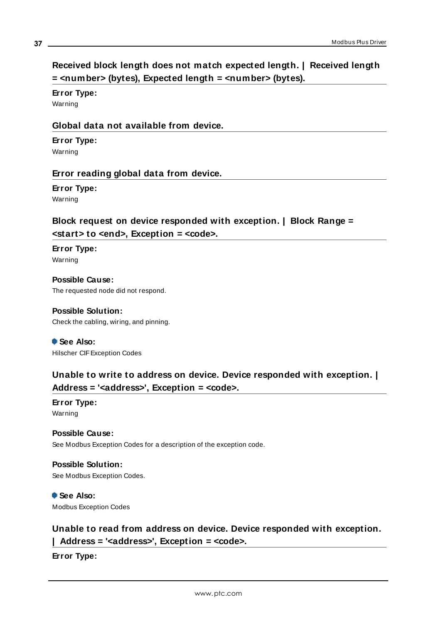# <span id="page-36-0"></span>**Received block length does not match expected length. | Received length = <number> (bytes), Expected length = <number> (bytes).**

# **Error Type:**

<span id="page-36-1"></span>Warning

# **Global data not available from device.**

# **Error Type:**

<span id="page-36-2"></span>Warning

# **Error reading global data from device.**

# **Error Type:**

<span id="page-36-3"></span>Warning

# **Block request on device responded with exception. | Block Range = <start> to <end>, Exception = <code>.**

**Error Type:** Warning

**Possible Cause:** The requested node did not respond.

## **Possible Solution:** Check the cabling, wiring, and pinning.

 **See Also:** Hilscher CIFException Codes

# <span id="page-36-4"></span>**Unable to write to address on device. Device responded with exception. | Address = '<address>', Exception = <code>.**

**Error Type:** Warning

# **Possible Cause:**

See Modbus Exception Codes for a description of the exception code.

# **Possible Solution:**

See Modbus Exception Codes.

## **See Also:** Modbus Exception Codes

# <span id="page-36-5"></span>**Unable to read from address on device. Device responded with exception. | Address = '<address>', Exception = <code>.**

**Error Type:**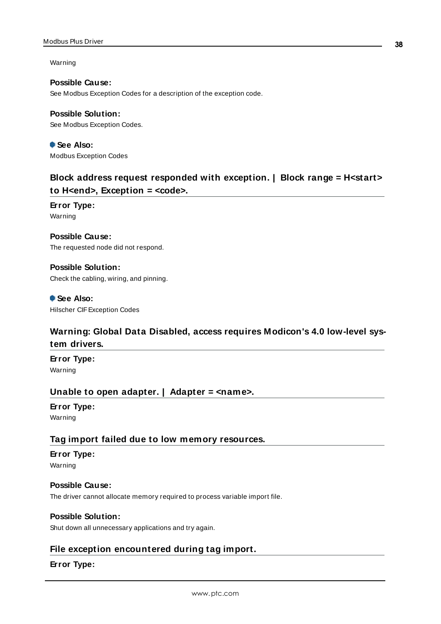#### Modbus Plus Driver

Warning

**Possible Cause:** See Modbus Exception Codes for a description of the exception code.

**Possible Solution:** See Modbus Exception Codes.

 **See Also:** Modbus Exception Codes

# <span id="page-37-0"></span>**Block address request responded with exception. | Block range = H<start> to H<end>, Exception = <code>.**

**Error Type:** Warning

**Possible Cause:** The requested node did not respond.

**Possible Solution:** Check the cabling, wiring, and pinning.

 **See Also:** Hilscher CIFException Codes

# <span id="page-37-1"></span>**Warning: Global Data Disabled, access requires Modicon's 4.0 low-level system drivers.**

**Error Type:** Warning

# <span id="page-37-2"></span>**Unable to open adapter. | Adapter = <name>.**

**Error Type:** Warning

## <span id="page-37-3"></span>**Tag import failed due to low memory resources.**

# **Error Type:**

Warning

# **Possible Cause:**

The driver cannot allocate memory required to process variable import file.

#### **Possible Solution:**

<span id="page-37-4"></span>Shut down all unnecessary applications and try again.

# **File exception encountered during tag import.**

# **Error Type:**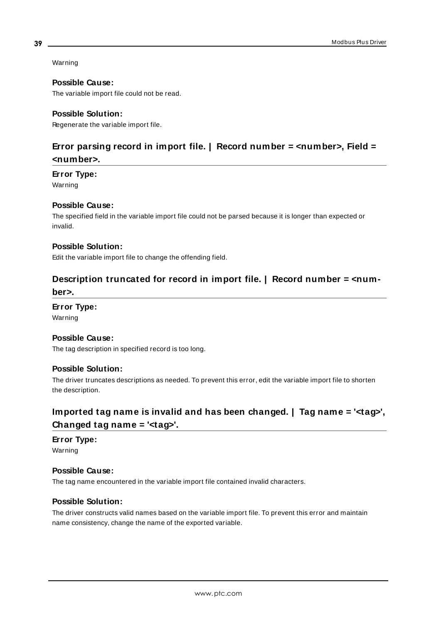Warning

#### **Possible Cause:**

The variable import file could not be read.

#### **Possible Solution:**

<span id="page-38-0"></span>Regenerate the variable import file.

# **Error parsing record in import file. | Record number = <number>, Field = <number>.**

# **Error Type:**

Warning

#### **Possible Cause:**

The specified field in the variable import file could not be parsed because it is longer than expected or invalid.

# **Possible Solution:**

<span id="page-38-1"></span>Edit the variable import file to change the offending field.

# **Description truncated for record in import file. | Record number = <number>.**

# **Error Type:**

Warning

#### **Possible Cause:**

The tag description in specified record is too long.

#### **Possible Solution:**

The driver truncates descriptions as needed. To prevent this error, edit the variable import file to shorten the description.

# <span id="page-38-2"></span>**Imported tag name is invalid and has been changed. | Tag name = '<tag>', Changed tag name = '<tag>'.**

# **Error Type:**

Warning

#### **Possible Cause:**

The tag name encountered in the variable import file contained invalid characters.

## **Possible Solution:**

The driver constructs valid names based on the variable import file. To prevent this error and maintain name consistency, change the name of the exported variable.

**39**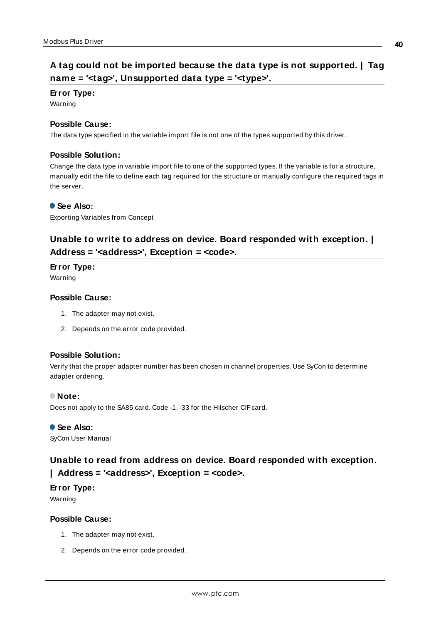# <span id="page-39-0"></span>**A tag could not be imported because the data type is not supported. | Tag name = '<tag>', Unsupported data type = '<type>'.**

#### **Error Type:**

Warning

#### **Possible Cause:**

The data type specified in the variable import file is not one of the types supported by this driver.

#### **Possible Solution:**

Change the data type in variable import file to one of the supported types. If the variable is for a structure, manually edit the file to define each tag required for the structure or manually configure the required tags in the server.

#### **See Also:**

<span id="page-39-1"></span>Exporting Variables from Concept

# **Unable to write to address on device. Board responded with exception. | Address = '<address>', Exception = <code>.**

#### **Error Type:**

Warning

#### **Possible Cause:**

- 1. The adapter may not exist.
- 2. Depends on the error code provided.

#### **Possible Solution:**

Verify that the proper adapter number has been chosen in channel properties. Use SyCon to determine adapter ordering.

#### **Note:**

Does not apply to the SA85 card. Code -1, -33 for the Hilscher CIF card.

 **See Also:** SyCon User Manual

# <span id="page-39-2"></span>**Unable to read from address on device. Board responded with exception. | Address = '<address>', Exception = <code>.**

## **Error Type:**

Warning

#### **Possible Cause:**

- 1. The adapter may not exist.
- 2. Depends on the error code provided.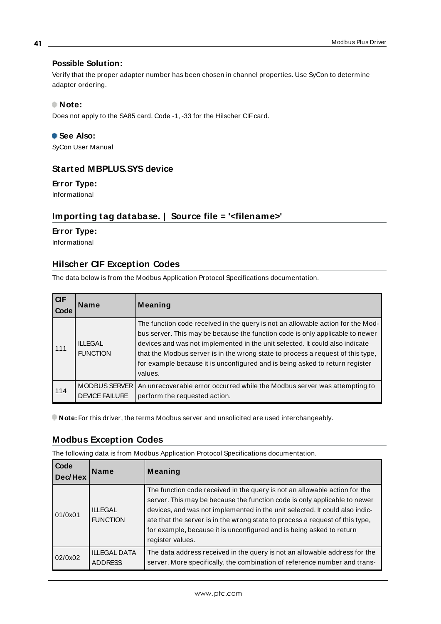### **Possible Solution:**

Verify that the proper adapter number has been chosen in channel properties. Use SyCon to determine adapter ordering.

#### **Note:**

Does not apply to the SA85 card. Code -1, -33 for the Hilscher CIF card.

## **See Also:**

<span id="page-40-0"></span>SyCon User Manual

# **Started MBPLUS.SYS device**

#### **Error Type:**

<span id="page-40-1"></span>Informational

# **Importing tag database. | Source file = '<filename>'**

#### **Error Type:**

<span id="page-40-2"></span>Informational

# <span id="page-40-4"></span>**Hilscher CIF Exception Codes**

The data below is from the Modbus Application Protocol Specifications documentation.

| CIF<br>Code | <b>Name</b>                                   | Meaning                                                                                                                                                                                                                                                                                                                                                                                                                        |
|-------------|-----------------------------------------------|--------------------------------------------------------------------------------------------------------------------------------------------------------------------------------------------------------------------------------------------------------------------------------------------------------------------------------------------------------------------------------------------------------------------------------|
| 111         | <b>ILLEGAL</b><br><b>FUNCTION</b>             | The function code received in the query is not an allowable action for the Mod-<br>bus server. This may be because the function code is only applicable to newer<br>devices and was not implemented in the unit selected. It could also indicate<br>that the Modbus server is in the wrong state to process a request of this type,<br>for example because it is unconfigured and is being asked to return register<br>values. |
| 114         | <b>MODBUS SERVER</b><br><b>DEVICE FAILURE</b> | An unrecoverable error occurred while the Modbus server was attempting to<br>perform the requested action.                                                                                                                                                                                                                                                                                                                     |

<span id="page-40-3"></span>**Note:** For this driver, the terms Modbus server and unsolicited are used interchangeably.

## **Modbus Exception Codes**

**Code** 

The following data is from Modbus Application Protocol Specifications documentation.

| <b>Code</b><br>Dec/Hex | <b>Name</b>                           | Meaning                                                                                                                                                                                                                                                                                                                                                                                                            |
|------------------------|---------------------------------------|--------------------------------------------------------------------------------------------------------------------------------------------------------------------------------------------------------------------------------------------------------------------------------------------------------------------------------------------------------------------------------------------------------------------|
| 01/0x01                | <b>ILLEGAL</b><br><b>FUNCTION</b>     | The function code received in the query is not an allowable action for the<br>server. This may be because the function code is only applicable to newer<br>devices, and was not implemented in the unit selected. It could also indic-<br>ate that the server is in the wrong state to process a request of this type,<br>for example, because it is unconfigured and is being asked to return<br>register values. |
| 02/0x02                | <b>ILLEGAL DATA</b><br><b>ADDRESS</b> | The data address received in the query is not an allowable address for the<br>server. More specifically, the combination of reference number and trans-                                                                                                                                                                                                                                                            |

**41**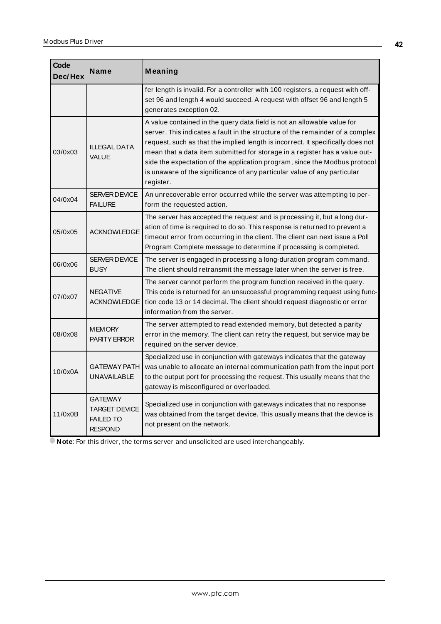| Code<br>Dec/Hex | Name                                                                         | Meaning                                                                                                                                                                                                                                                                                                                                                                                                                                                                                          |  |
|-----------------|------------------------------------------------------------------------------|--------------------------------------------------------------------------------------------------------------------------------------------------------------------------------------------------------------------------------------------------------------------------------------------------------------------------------------------------------------------------------------------------------------------------------------------------------------------------------------------------|--|
|                 |                                                                              | fer length is invalid. For a controller with 100 registers, a request with off-<br>set 96 and length 4 would succeed. A request with offset 96 and length 5<br>generates exception 02.                                                                                                                                                                                                                                                                                                           |  |
| 03/0x03         | <b>ILLEGAL DATA</b><br><b>VALUE</b>                                          | A value contained in the query data field is not an allowable value for<br>server. This indicates a fault in the structure of the remainder of a complex<br>request, such as that the implied length is incorrect. It specifically does not<br>mean that a data item submitted for storage in a register has a value out-<br>side the expectation of the application program, since the Modbus protocol<br>is unaware of the significance of any particular value of any particular<br>register. |  |
| 04/0x04         | SERVER DEVICE<br><b>FAILURE</b>                                              | An unrecoverable error occurred while the server was attempting to per-<br>form the requested action.                                                                                                                                                                                                                                                                                                                                                                                            |  |
| 05/0x05         | <b>ACKNOWLEDGE</b>                                                           | The server has accepted the request and is processing it, but a long dur-<br>ation of time is required to do so. This response is returned to prevent a<br>timeout error from occurring in the client. The client can next issue a Poll<br>Program Complete message to determine if processing is completed.                                                                                                                                                                                     |  |
| 06/0x06         | <b>SERVER DEVICE</b><br><b>BUSY</b>                                          | The server is engaged in processing a long-duration program command.<br>The client should retransmit the message later when the server is free.                                                                                                                                                                                                                                                                                                                                                  |  |
| 07/0x07         | <b>NEGATIVE</b><br>ACKNOWLEDGE                                               | The server cannot perform the program function received in the query.<br>This code is returned for an unsuccessful programming request using func-<br>tion code 13 or 14 decimal. The client should request diagnostic or error<br>information from the server.                                                                                                                                                                                                                                  |  |
| 08/0x08         | <b>MEMORY</b><br><b>PARITY ERROR</b>                                         | The server attempted to read extended memory, but detected a parity<br>error in the memory. The client can retry the request, but service may be<br>required on the server device.                                                                                                                                                                                                                                                                                                               |  |
| 10/0x0A         | <b>GATEWAY PATH</b><br><b>UNAVAILABLE</b>                                    | Specialized use in conjunction with gateways indicates that the gateway<br>was unable to allocate an internal communication path from the input port<br>to the output port for processing the request. This usually means that the<br>gateway is misconfigured or overloaded.                                                                                                                                                                                                                    |  |
| 11/0x0B         | <b>GATEWAY</b><br><b>TARGET DEVICE</b><br><b>FAILED TO</b><br><b>RESPOND</b> | Specialized use in conjunction with gateways indicates that no response<br>was obtained from the target device. This usually means that the device is<br>not present on the network.                                                                                                                                                                                                                                                                                                             |  |

**Note:** For this driver, the terms server and unsolicited are used interchangeably.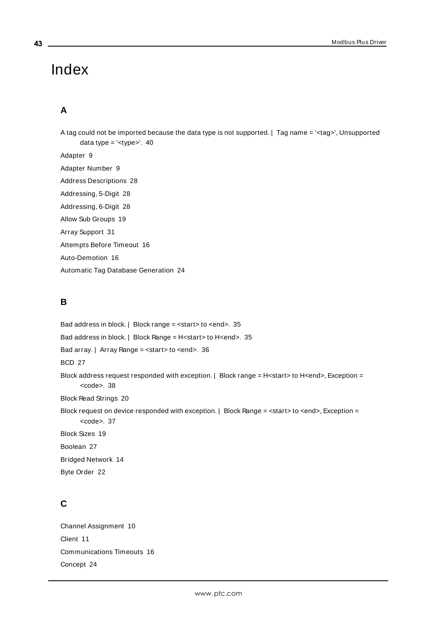# <span id="page-42-0"></span>Index

# **A**

A tag could not be imported because the data type is not supported. | Tag name = '<tag>', Unsupported data type = '<type>'. [40](#page-39-0) Adapter [9](#page-8-1) Adapter Number [9](#page-8-2) Address Descriptions [28](#page-27-0) Addressing, 5-Digit [28](#page-27-2) Addressing, 6-Digit [28](#page-27-2) Allow Sub Groups [19](#page-18-1) Array Support [31](#page-30-2) Attempts Before Timeout [16](#page-15-1) Auto-Demotion [16](#page-15-0) Automatic Tag Database Generation [24](#page-23-0)

# **B**

Bad address in block. | Block range = <start> to <end>. [35](#page-34-1) Bad address in block. | Block Range = H<start> to H<end>. [35](#page-34-2) Bad array. | Array Range = <start> to <end>. [36](#page-35-2) BCD [27](#page-26-1) Block address request responded with exception. | Block range = H<start> to H<end>, Exception = kcode</code> > [38](#page-37-0) Block Read Strings [20](#page-19-1) Block request on device responded with exception.  $|$  Block Range = <start> to <end>, Exception = kcode</code> > [37](#page-36-3) Block Sizes [19](#page-18-0) Boolean [27](#page-26-2) Bridged Network [14](#page-13-1) Byte Order [22](#page-21-0) **C**

Channel Assignment [10](#page-9-1) Client [11](#page-10-1) Communications Timeouts [16](#page-15-2) Concept [24](#page-23-1)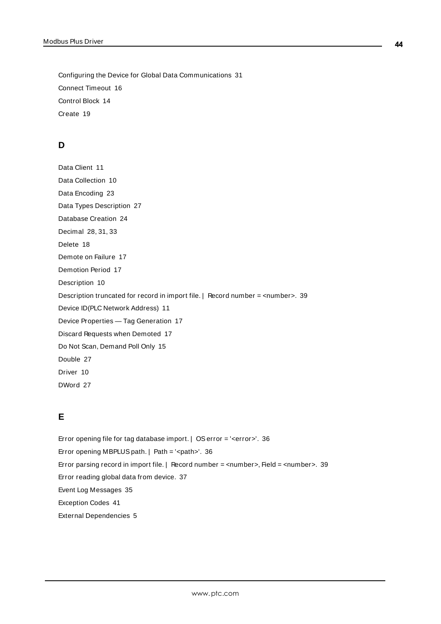Configuring the Device for Global Data Communications [31](#page-30-1) Connect Timeout [16](#page-15-3) Control Block [14](#page-13-2) Create [19](#page-18-2)

# **D**

Data Client [11](#page-10-2) Data Collection [10](#page-9-2) Data Encoding [23](#page-22-1) Data Types Description [27](#page-26-0) Database Creation [24](#page-23-2) Decimal [28](#page-27-3), [31](#page-30-3), [33](#page-32-1) Delete [18](#page-17-0) Demote on Failure [17](#page-16-1) Demotion Period [17](#page-16-2) Description [10](#page-9-3) Description truncated for record in import file. | Record number = <number>. [39](#page-38-1) Device ID(PLC Network Address) [11](#page-10-1) Device Properties — Tag Generation [17](#page-16-0) Discard Requests when Demoted [17](#page-16-3) Do Not Scan, Demand Poll Only [15](#page-14-2) Double [27](#page-26-3) Driver [10](#page-9-4) DWord [27](#page-26-4)

# **E**

Error opening file for tag database import. | OSerror = '<error>'. [36](#page-35-4) Error opening MBPLUS path. | Path = '<path>'. [36](#page-35-5) Error parsing record in import file. | Record number = <number>, Field = <number>. [39](#page-38-0) Error reading global data from device. [37](#page-36-2) Event Log Messages [35](#page-34-0) Exception Codes [41](#page-40-2)

External Dependencies [5](#page-4-1)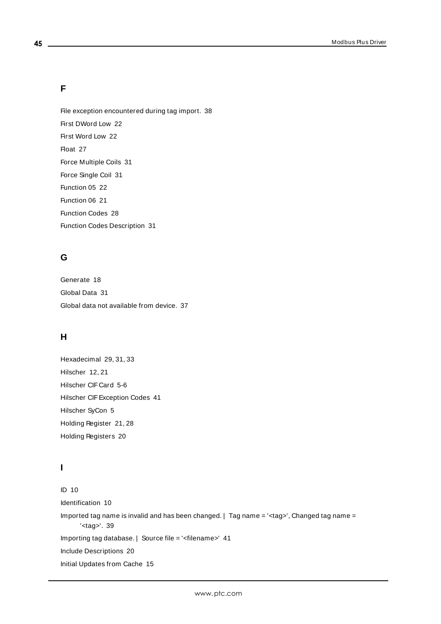# **F**

**45**

File exception encountered during tag import. [38](#page-37-4) First DWord Low [22](#page-21-1) First Word Low [22](#page-21-2) Float [27](#page-26-5) Force Multiple Coils [31](#page-30-4) Force Single Coil [31](#page-30-5) Function 05 [22](#page-21-3) Function 06 [21](#page-20-1) Function Codes [28](#page-27-4) Function Codes Description [31](#page-30-0)

# **G**

Generate [18](#page-17-1) Global Data [31](#page-30-6) Global data not available from device. [37](#page-36-1)

# **H**

Hexadecimal [29,](#page-28-0) [31](#page-30-7), [33](#page-32-2) Hilscher [12](#page-11-1), [21](#page-20-2) Hilscher CIFCard [5-6](#page-4-2) Hilscher CIFException Codes [41](#page-40-2) Hilscher SyCon [5](#page-4-3) Holding Register [21,](#page-20-3) [28](#page-27-5) Holding Registers [20](#page-19-2)

# **I**

ID [10](#page-9-5) Identification [10](#page-9-0) Imported tag name is invalid and has been changed. | Tag name = '<tag>', Changed tag name = '<tag>'. [39](#page-38-2) Importing tag database. | Source file = '<filename>' [41](#page-40-1) Include Descriptions [20](#page-19-3) Initial Updates from Cache [15](#page-14-3)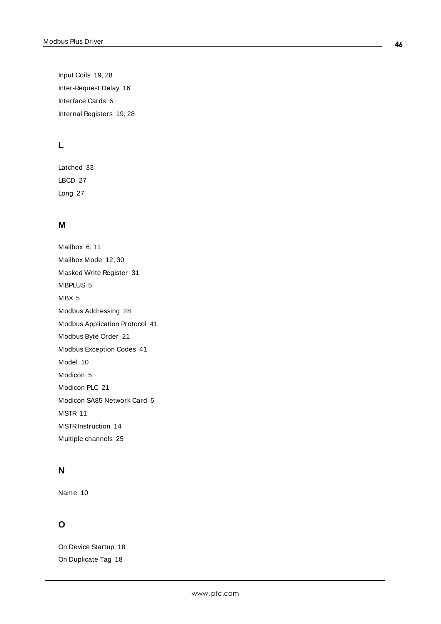Input Coils [19](#page-18-3), [28](#page-27-6) Inter-Request Delay [16](#page-15-4) Interface Cards [6](#page-5-1) Internal Registers [19](#page-18-4), [28](#page-27-7)

# **L**

Latched [33](#page-32-3) LBCD [27](#page-26-6) Long [27](#page-26-7)

# **M**

Mailbox [6,](#page-5-2) [11](#page-10-1) Mailbox Mode [12](#page-11-2), [30](#page-29-0) Masked Write Register [31](#page-30-8) MBPLUS [5](#page-4-3) MBX [5](#page-4-3) Modbus Addressing [28](#page-27-1) Modbus Application Protocol [41](#page-40-4) Modbus Byte Order [21](#page-20-4) Modbus Exception Codes [41](#page-40-3) Model [10](#page-9-6) Modicon [5](#page-4-3) Modicon PLC [21](#page-20-5) Modicon SA85 Network Card [5](#page-4-2) MSTR [11](#page-10-3) MSTRInstruction [14](#page-13-3) Multiple channels [25](#page-24-1)

# **N**

Name [10](#page-9-7)

# **O**

On Device Startup [18](#page-17-2) On Duplicate Tag [18](#page-17-3)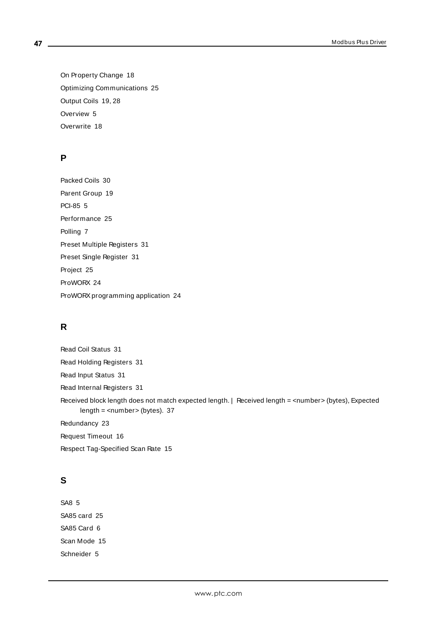On Property Change [18](#page-17-4) Optimizing Communications [25](#page-24-0) Output Coils [19,](#page-18-5) [28](#page-27-8) Overview [5](#page-4-0) Overwrite [18](#page-17-5)

# **P**

Packed Coils [30](#page-29-1) Parent Group [19](#page-18-6) PCI-85 [5](#page-4-3) Performance [25](#page-24-1) Polling [7](#page-6-1) Preset Multiple Registers [31](#page-30-9) Preset Single Register [31](#page-30-10) Project [25](#page-24-2) ProWORX [24](#page-23-1) ProWORX programming application [24](#page-23-1)

# **R**

Read Coil Status [31](#page-30-11) Read Holding Registers [31](#page-30-12) Read Input Status [31](#page-30-13) Read Internal Registers [31](#page-30-14) Received block length does not match expected length. | Received length = <number> (bytes), Expected length = <number> (bytes). [37](#page-36-0) Redundancy [23](#page-22-0) Request Timeout [16](#page-15-5) Respect Tag-Specified Scan Rate [15](#page-14-4)

# **S**

SA8 [5](#page-4-3) SA85 card [25](#page-24-3) SA85 Card [6](#page-5-3) Scan Mode [15](#page-14-5) Schneider [5](#page-4-3)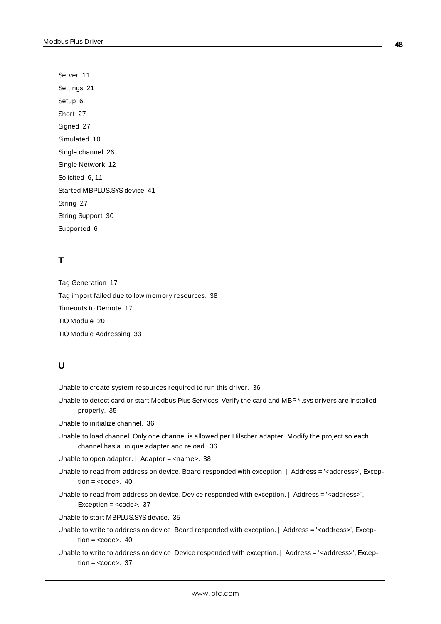Server [11](#page-10-1) Settings [21](#page-20-0) Setup [6](#page-5-0) Short [27](#page-26-8) Signed [27](#page-26-9) Simulated [10](#page-9-8) Single channel [26](#page-25-0) Single Network [12](#page-11-3) Solicited [6,](#page-5-4) [11](#page-10-2) Started MBPLUS.SYS device [41](#page-40-0) String [27](#page-26-10) String Support [30](#page-29-2) Supported [6](#page-5-5)

# **T**

Tag Generation [17](#page-16-0) Tag import failed due to low memory resources. [38](#page-37-3) Timeouts to Demote [17](#page-16-4) TIO Module [20](#page-19-4) TIO Module Addressing [33](#page-32-0)

# **U**

Unable to create system resources required to run this driver. [36](#page-35-0)

Unable to detect card or start Modbus Plus Services. Verify the card and MBP\* .sys drivers are installed properly. [35](#page-34-4)

Unable to initialize channel. [36](#page-35-1)

Unable to load channel. Only one channel is allowed per Hilscher adapter. Modify the project so each channel has a unique adapter and reload. [36](#page-35-3)

Unable to open adapter. | Adapter = <name>. [38](#page-37-2)

- Unable to read from address on device. Board responded with exception. | Address = '<address>', Exception  $=$   $<$ code $>$ . [40](#page-39-2)
- Unable to read from address on device. Device responded with exception. | Address = '<address>', Exception = <code>. [37](#page-36-5)</sup>

Unable to start MBPLUS.SYSdevice. [35](#page-34-3)

- Unable to write to address on device. Board responded with exception. | Address = '<address>', Exception  $=$   $<$ code $>$ . [40](#page-39-1)
- Unable to write to address on device. Device responded with exception. | Address = '<address>', Exception  $=$   $<$ code $>$ . [37](#page-36-4)